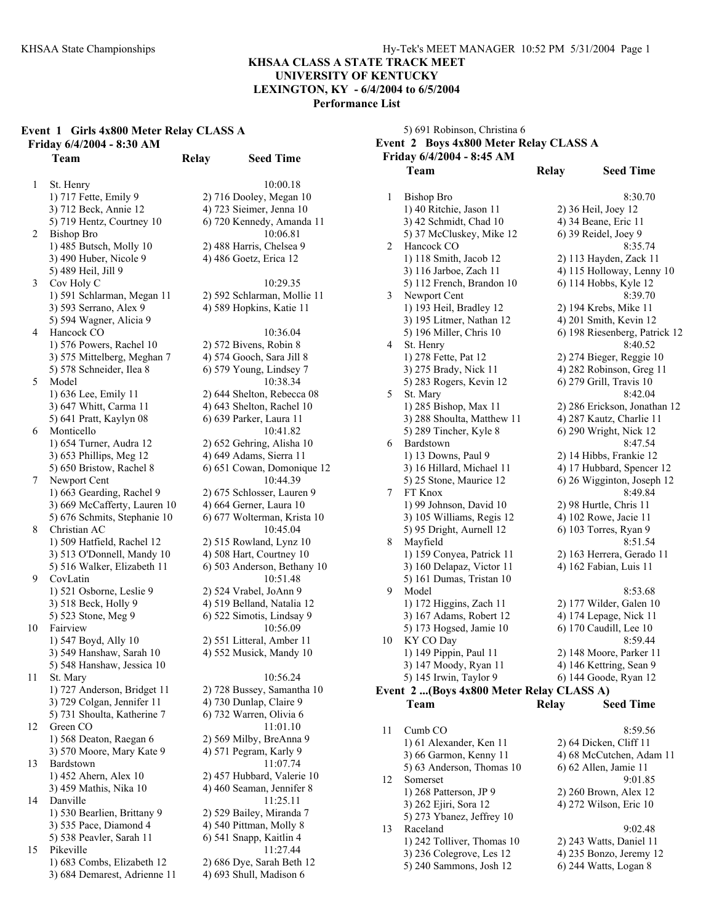### **KHSAA CLASS A STATE TRACK MEET UNIVERSITY OF KENTUCKY**

## **LEXINGTON, KY - 6/4/2004 to 6/5/2004**

**Performance List** 

|  | Event 1 Girls 4x800 Meter Relay CLASS A |  |
|--|-----------------------------------------|--|
|  | Friday 6/4/2004 - 8:30 AM               |  |

1 St. Henry 10:00.18 1) 717 Fette, Emily 9 2) 716 Dooley, Megan 10 3) 712 Beck, Annie 12 4) 723 Sieimer, Jenna 10 5) 719 Hentz, Courtney 10 6) 720 Kennedy, Amanda 11 2 Bishop Bro 10:06.81 1) 485 Butsch, Molly 10 2) 488 Harris, Chelsea 9 3) 490 Huber, Nicole 9 4) 486 Goetz, Erica 12 5) 489 Heil, Jill 9 3 Cov Holy C 10:29.35 1) 591 Schlarman, Megan 11 2) 592 Schlarman, Mollie 11 3) 593 Serrano, Alex 9 4) 589 Hopkins, Katie 11 5) 594 Wagner, Alicia 9 4 Hancock CO 10:36.04 1) 576 Powers, Rachel 10 2) 572 Bivens, Robin 8 3) 575 Mittelberg, Meghan 7 4) 574 Gooch, Sara Jill 8 5) 578 Schneider, Ilea 8 6) 579 Young, Lindsey 7 5 Model 10:38.34 1) 636 Lee, Emily 11 2) 644 Shelton, Rebecca 08 3) 647 Whitt, Carma 11 4) 643 Shelton, Rachel 10 5) 641 Pratt, Kaylyn 08 6) 639 Parker, Laura 11 6 Monticello 10:41.82 1) 654 Turner, Audra 12 2) 652 Gehring, Alisha 10 3) 653 Phillips, Meg 12 4) 649 Adams, Sierra 11 5) 650 Bristow, Rachel 8 6) 651 Cowan, Domonique 12 7 Newport Cent 10:44.39 1) 663 Gearding, Rachel 9 2) 675 Schlosser, Lauren 9 3) 669 McCafferty, Lauren 10 4) 664 Gerner, Laura 10 5) 676 Schmits, Stephanie 10 6) 677 Wolterman, Krista 10 8 Christian AC 10:45.04 1) 509 Hatfield, Rachel 12 2) 515 Rowland, Lynz 10 3) 513 O'Donnell, Mandy 10 4) 508 Hart, Courtney 10 5) 516 Walker, Elizabeth 11  $\qquad$  6) 503 Anderson, Bethany 10 9 CovLatin 10:51.48 1) 521 Osborne, Leslie 9 2) 524 Vrabel, JoAnn 9 3) 518 Beck, Holly 9 4) 519 Belland, Natalia 12 5) 523 Stone, Meg 9 6) 522 Simotis, Lindsay 9 10 Fairview 10:56.09 1) 547 Boyd, Ally 10 2) 551 Litteral, Amber 11 3) 549 Hanshaw, Sarah 10 4) 552 Musick, Mandy 10 5) 548 Hanshaw, Jessica 10 11 St. Mary 10:56.24 1) 727 Anderson, Bridget 11 2) 728 Bussey, Samantha 10 3) 729 Colgan, Jennifer 11 4) 730 Dunlap, Claire 9 5) 731 Shoulta, Katherine 7 6) 732 Warren, Olivia 6 12 Green CO 11:01.10 1) 568 Deaton, Raegan 6 2) 569 Milby, BreAnna 9 3) 570 Moore, Mary Kate 9 4) 571 Pegram, Karly 9 13 Bardstown 11:07.74 1) 452 Ahern, Alex 10 2) 457 Hubbard, Valerie 10 3) 459 Mathis, Nika 10 4) 460 Seaman, Jennifer 8 14 Danville 11:25.11 1) 530 Bearlien, Brittany 9 2) 529 Bailey, Miranda 7 3) 535 Pace, Diamond 4 4) 540 Pittman, Molly 8 5) 538 Peavler, Sarah 11 6) 541 Snapp, Kaitlin 4 15 Pikeville 11:27.44 1) 683 Combs, Elizabeth 12 2) 686 Dye, Sarah Beth 12 3) 684 Demarest, Adrienne 11 4) 693 Shull, Madison 6

**Team Relay Seed Time** 

5) 691 Robinson, Christina 6 **Event 2 Boys 4x800 Meter Relay CLASS A Friday 6/4/2004 - 8:45 AM Team Relay Seed Time**  1 Bishop Bro 8:30.70 1) 40 Ritchie, Jason 11 2) 36 Heil, Joey 12 3) 42 Schmidt, Chad 10 4) 34 Beane, Eric 11 5) 37 McCluskey, Mike 12 6) 39 Reidel, Joey 9 2 Hancock CO 8:35.74 1) 118 Smith, Jacob 12 2) 113 Hayden, Zack 11 3) 116 Jarboe, Zach 11 4) 115 Holloway, Lenny 10 5) 112 French, Brandon 10 6) 114 Hobbs, Kyle 12 3 Newport Cent 8:39.70 1) 193 Heil, Bradley 12 2) 194 Krebs, Mike 11 3) 195 Litmer, Nathan 12 4) 201 Smith, Kevin 12 5) 196 Miller, Chris 10 6) 198 Riesenberg, Patrick 12 4 St. Henry 8:40.52 1) 278 Fette, Pat 12 2) 274 Bieger, Reggie 10 3) 275 Brady, Nick 11 4) 282 Robinson, Greg 11 5) 283 Rogers, Kevin 12 6) 279 Grill, Travis 10 5 St. Mary 8:42.04 1) 285 Bishop, Max 11 2) 286 Erickson, Jonathan 12 3) 288 Shoulta, Matthew 11 4) 287 Kautz, Charlie 11 5) 289 Tincher, Kyle 8 6) 290 Wright, Nick 12 6 Bardstown 8:47.54 1) 13 Downs, Paul 9 2) 14 Hibbs, Frankie 12 3) 16 Hillard, Michael 11  $\qquad$  4) 17 Hubbard, Spencer 12 5) 25 Stone, Maurice 12 6) 26 Wigginton, Joseph 12 7 FT Knox 8:49.84 1) 99 Johnson, David 10 2) 98 Hurtle, Chris 11 3) 105 Williams, Regis 12 4) 102 Rowe, Jacie 11 5) 95 Dright, Aurnell 12 6) 103 Torres, Ryan 9 8 Mayfield 8:51.54 1) 159 Conyea, Patrick 11 2) 163 Herrera, Gerado 11 3) 160 Delapaz, Victor 11 4) 162 Fabian, Luis 11 5) 161 Dumas, Tristan 10 9 Model 8:53.68 1) 172 Higgins, Zach 11 2) 177 Wilder, Galen 10 3) 167 Adams, Robert 12 4) 174 Lepage, Nick 11 5) 173 Hogsed, Jamie 10 6) 170 Caudill, Lee 10 10 KY CO Day 8:59.44 1) 149 Pippin, Paul 11 2) 148 Moore, Parker 11 3) 147 Moody, Ryan 11 4) 146 Kettring, Sean 9 5) 145 Irwin, Taylor 9 6) 144 Goode, Ryan 12 **Event 2 ...(Boys 4x800 Meter Relay CLASS A) Team Relay Seed Time**  11 Cumb CO 8:59.56 1) 61 Alexander, Ken 11 2) 64 Dicken, Cliff 11 3) 66 Garmon, Kenny 11 4) 68 McCutchen, Adam 11

|    | 5) 63 Anderson, Thomas 10  | 6) 62 Allen, Jamie 11   |
|----|----------------------------|-------------------------|
| 12 | Somerset                   | 9:01.85                 |
|    | 1) 268 Patterson, JP 9     | 2) 260 Brown, Alex 12   |
|    | 3) 262 Ejiri, Sora 12      | 4) 272 Wilson, Eric 10  |
|    | 5) 273 Ybanez, Jeffrey 10  |                         |
| 13 | Raceland                   | 9:02.48                 |
|    | 1) 242 Tolliver, Thomas 10 | 2) 243 Watts, Daniel 11 |
|    | $3)$ 236 Colegrove, Les 12 | 4) 235 Bonzo, Jeremy 12 |
|    | 5) 240 Sammons, Josh 12    | 6) 244 Watts, Logan 8   |
|    |                            |                         |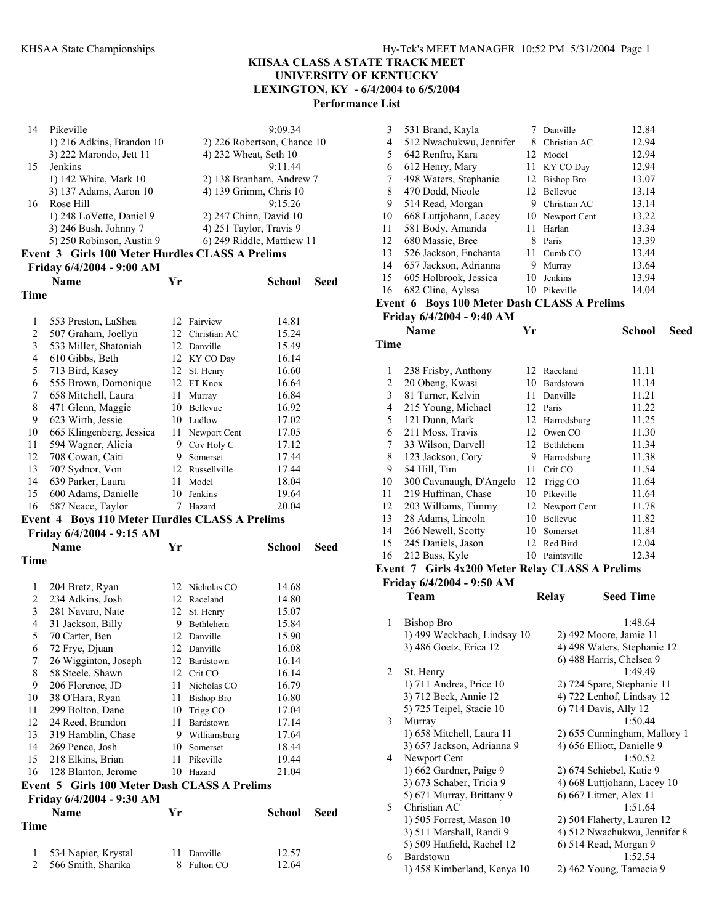## **KHSAA CLASS A STATE TRACK MEET UNIVERSITY OF KENTUCKY**

**LEXINGTON, KY - 6/4/2004 to 6/5/2004** 

**Performance List** 

| Time |                                                 |    |                             |         |      |
|------|-------------------------------------------------|----|-----------------------------|---------|------|
|      | <b>Name</b>                                     | Vr |                             | School  | Seed |
|      | Friday 6/4/2004 - 9:00 AM                       |    |                             |         |      |
|      | Event 3 Girls 100 Meter Hurdles CLASS A Prelims |    |                             |         |      |
|      | 5) 250 Robinson, Austin 9                       |    | 6) 249 Riddle, Matthew 11   |         |      |
|      | 3) 246 Bush, Johnny 7                           |    | 4) 251 Taylor, Travis 9     |         |      |
|      | 1) 248 LoVette, Daniel 9                        |    | 2) 247 Chinn, David 10      |         |      |
| 16   | Rose Hill                                       |    |                             | 9:15.26 |      |
|      | 3) 137 Adams, Aaron 10                          |    | 4) 139 Grimm, Chris 10      |         |      |
|      | 1) 142 White, Mark 10                           |    | 2) 138 Branham, Andrew 7    |         |      |
| 15   | <b>Jenkins</b>                                  |    |                             | 9.1144  |      |
|      | 3) 222 Marondo, Jett 11                         |    | 4) 232 Wheat, Seth 10       |         |      |
|      | 1) 216 Adkins, Brandon 10                       |    | 2) 226 Robertson, Chance 10 |         |      |
| 14   | Pikeville                                       |    |                             | 9:09.34 |      |
|      |                                                 |    |                             |         |      |

| 1  | 553 Preston, LaShea                                   |    | 12 Fairview     | 14.81 |
|----|-------------------------------------------------------|----|-----------------|-------|
| 2  | 507 Graham, Joellyn                                   | 12 | Christian AC    | 15.24 |
| 3  | 533 Miller, Shatoniah                                 | 12 | Danville        | 15.49 |
| 4  | 610 Gibbs, Beth                                       |    | 12 KY CO Day    | 16.14 |
| 5  | 713 Bird, Kasey                                       | 12 | St. Henry       | 16.60 |
| 6  | 555 Brown, Domonique                                  |    | 12 FT Knox      | 16.64 |
| 7  | 658 Mitchell, Laura                                   | 11 | Murray          | 16.84 |
| 8  | 471 Glenn, Maggie                                     | 10 | <b>Bellevue</b> | 16.92 |
| 9  | 623 Wirth, Jessie                                     | 10 | Ludlow          | 17.02 |
| 10 | 665 Klingenberg, Jessica                              | 11 | Newport Cent    | 17.05 |
| 11 | 594 Wagner, Alicia                                    | 9  | Cov Holy C      | 17.12 |
| 12 | 708 Cowan, Caiti                                      | 9  | Somerset        | 17.44 |
| 13 | 707 Sydnor, Von                                       | 12 | Russellville    | 17.44 |
| 14 | 639 Parker, Laura                                     | 11 | Model           | 18.04 |
| 15 | 600 Adams, Danielle                                   | 10 | Jenkins         | 19.64 |
| 16 | 587 Neace, Taylor                                     | 7  | Hazard          | 20.04 |
|    | <b>Event 4 Boys 110 Meter Hurdles CLASS A Prelims</b> |    |                 |       |
|    | Friday 6/4/2004 - 9:15 AM                             |    |                 |       |

|                | Name                                         | Yr |                   | School | Seed |
|----------------|----------------------------------------------|----|-------------------|--------|------|
| Time           |                                              |    |                   |        |      |
| 1              |                                              | 12 | Nicholas CO       | 14.68  |      |
| 2              | 204 Bretz, Ryan<br>234 Adkins, Josh          |    | 12 Raceland       | 14.80  |      |
| 3              |                                              |    |                   |        |      |
| 4              | 281 Navaro, Nate                             | 12 | St. Henry         | 15.07  |      |
|                | 31 Jackson, Billy                            | 9  | Bethlehem         | 15.84  |      |
| 5              | 70 Carter, Ben                               | 12 | Danville          | 15.90  |      |
| 6              | 72 Frye, Djuan                               | 12 | Danville          | 16.08  |      |
| 7              | 26 Wigginton, Joseph                         | 12 | Bardstown         | 16.14  |      |
| 8              | 58 Steele, Shawn                             | 12 | Crit CO           | 16.14  |      |
| 9              | 206 Florence, JD                             | 11 | Nicholas CO       | 16.79  |      |
| 10             | 38 O'Hara, Ryan                              | 11 | <b>Bishop Bro</b> | 16.80  |      |
| 11             | 299 Bolton, Dane                             | 10 | Trigg CO          | 17.04  |      |
| 12             | 24 Reed, Brandon                             | 11 | Bardstown         | 17.14  |      |
| 13             | 319 Hamblin, Chase                           |    | 9 Williamsburg    | 17.64  |      |
| 14             | 269 Pence, Josh                              | 10 | Somerset          | 18.44  |      |
| 15             | 218 Elkins, Brian                            | 11 | Pikeville         | 19.44  |      |
| 16             | 128 Blanton, Jerome                          |    | 10 Hazard         | 21.04  |      |
|                | Event 5 Girls 100 Meter Dash CLASS A Prelims |    |                   |        |      |
|                | Friday 6/4/2004 - 9:30 AM                    |    |                   |        |      |
|                | <b>Name</b>                                  | Yr |                   | School | Seed |
| Time           |                                              |    |                   |        |      |
| 1              | 534 Napier, Krystal                          | 11 | Danville          | 12.57  |      |
| $\overline{2}$ | 566 Smith, Sharika                           | 8  | Fulton CO         | 12.64  |      |

| 3  | 531 Brand, Kayla        |    | Danville          | 12.84 |
|----|-------------------------|----|-------------------|-------|
| 4  | 512 Nwachukwu, Jennifer | 8  | Christian AC      | 12.94 |
| 5  | 642 Renfro, Kara        | 12 | Model             | 12.94 |
| 6  | 612 Henry, Mary         | 11 | KY CO Day         | 12.94 |
| 7  | 498 Waters, Stephanie   | 12 | <b>Bishop Bro</b> | 13.07 |
| 8  | 470 Dodd, Nicole        | 12 | Bellevue          | 13.14 |
| 9  | 514 Read, Morgan        | 9  | Christian AC      | 13.14 |
| 10 | 668 Luttjohann, Lacey   | 10 | Newport Cent      | 13.22 |
| 11 | 581 Body, Amanda        | 11 | Harlan            | 13.34 |
| 12 | 680 Massie, Bree        | 8  | Paris             | 13.39 |
| 13 | 526 Jackson, Enchanta   | 11 | Cumb CO           | 13.44 |
| 14 | 657 Jackson, Adrianna   | 9  | Murray            | 13.64 |
| 15 | 605 Holbrook, Jessica   | 10 | Jenkins           | 13.94 |
| 16 | 682 Cline, Aylssa       | 10 | Pikeville         | 14.04 |

#### **Event 6 Boys 100 Meter Dash CLASS A Prelims**

**Friday 6/4/2004 - 9:40 AM** 

|      | Name                                                    | Yr             |                             | School | Seed |
|------|---------------------------------------------------------|----------------|-----------------------------|--------|------|
| Time |                                                         |                |                             |        |      |
| 1    | 238 Frisby, Anthony                                     | 12             | Raceland                    | 11.11  |      |
| 2    | 20 Obeng, Kwasi                                         | 10             | Bardstown                   | 11.14  |      |
| 3    | 81 Turner, Kelvin                                       | 11             | Danville                    | 11.21  |      |
| 4    | 215 Young, Michael                                      | 12             | Paris                       | 11.22  |      |
| 5    | 121 Dunn, Mark                                          | 12             | Harrodsburg                 | 11.25  |      |
| 6    | 211 Moss, Travis                                        | 12             | Owen CO                     | 11.30  |      |
| 7    | 33 Wilson, Darvell                                      | 12             | Bethlehem                   | 11.34  |      |
| 8    | 123 Jackson, Cory                                       | 9              | Harrodsburg                 | 11.38  |      |
| 9    | 54 Hill, Tim                                            | 11             | Crit CO                     | 11.54  |      |
| 10   | 300 Cavanaugh, D'Angelo                                 | 12             | Trigg CO                    | 11.64  |      |
| 11   | 219 Huffman, Chase                                      | 10             | Pikeville                   | 11.64  |      |
| 12   | 203 Williams, Timmy                                     |                | 12 Newport Cent             | 11.78  |      |
| 13   | 28 Adams, Lincoln                                       | 10             | Bellevue                    | 11.82  |      |
| 14   | 266 Newell, Scotty                                      | 10             | Somerset                    | 11.84  |      |
| 15   | 245 Daniels, Jason                                      | 12             | Red Bird                    | 12.04  |      |
| 16   | 212 Bass, Kyle                                          | 10             | Paintsville                 | 12.34  |      |
|      | $\sim$ $\sim$ $\sim$ $\sim$ $\sim$ $\sim$ $\sim$ $\sim$ | $\blacksquare$ | $\sim$ $\sim$ $\sim$ $\sim$ |        |      |

# **Event 7 Girls 4x200 Meter Relay CLASS A Prelims**

**Friday 6/4/2004 - 9:50 AM** 

**Team Relay Seed Time** 

| 1 | Bishop Bro                  | 1:48.64                      |
|---|-----------------------------|------------------------------|
|   | 1) 499 Weckbach, Lindsay 10 | 2) 492 Moore, Jamie 11       |
|   | 3) 486 Goetz, Erica 12      | 4) 498 Waters, Stephanie 12  |
|   |                             | 6) 488 Harris, Chelsea 9     |
| 2 | St. Henry                   | 1:49.49                      |
|   | 1) 711 Andrea, Price 10     | 2) 724 Spare, Stephanie 11   |
|   | 3) 712 Beck, Annie 12       | 4) 722 Lenhof, Lindsay 12    |
|   | 5) 725 Teipel, Stacie 10    | 6) 714 Davis, Ally 12        |
| 3 | Murray                      | 1:50.44                      |
|   | 1) 658 Mitchell, Laura 11   | 2) 655 Cunningham, Mallory 1 |
|   | 3) 657 Jackson, Adrianna 9  | 4) 656 Elliott, Danielle 9   |
| 4 | Newport Cent                | 1:50.52                      |
|   | 1) 662 Gardner, Paige 9     | 2) 674 Schiebel, Katie 9     |
|   | 3) 673 Schaber, Tricia 9    | 4) 668 Luttjohann, Lacey 10  |
|   | 5) 671 Murray, Brittany 9   | 6) 667 Litmer, Alex 11       |
| 5 | Christian AC                | 1:51.64                      |
|   | 1) 505 Forrest, Mason 10    | 2) 504 Flaherty, Lauren 12   |
|   | 3) 511 Marshall, Randi 9    | 4) 512 Nwachukwu, Jennifer 8 |
|   | 5) 509 Hatfield, Rachel 12  | 6) 514 Read, Morgan 9        |
| 6 | Bardstown                   | 1:52.54                      |
|   | 1) 458 Kimberland, Kenya 10 | 2) 462 Young, Tamecia 9      |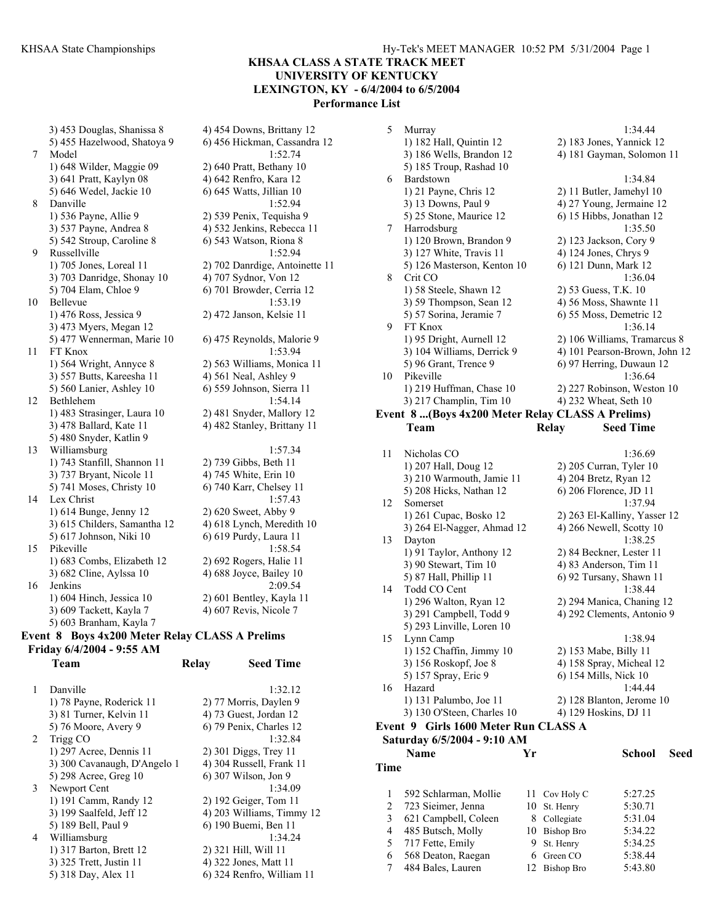3) 453 Douglas, Shanissa 8 4) 454 Downs, Brittany 12 5) 455 Hazelwood, Shatoya 9 6) 456 Hickman, Cassandra 12 7 Model 1:52.74 1) 648 Wilder, Maggie 09 2) 640 Pratt, Bethany 10 3) 641 Pratt, Kaylyn 08 4) 642 Renfro, Kara 12 5) 646 Wedel, Jackie 10 6) 645 Watts, Jillian 10 8 Danville 1:52.94 1) 536 Payne, Allie 9 2) 539 Penix, Tequisha 9 3) 537 Payne, Andrea 8 4) 532 Jenkins, Rebecca 11 5) 542 Stroup, Caroline 8 6) 543 Watson, Riona 8 9 Russellville 1:52.94 1) 705 Jones, Loreal 11 2) 702 Danrdige, Antoinette 11 3) 703 Danridge, Shonay 10 4) 707 Sydnor, Von 12 5) 704 Elam, Chloe 9 6) 701 Browder, Cerria 12 10 Bellevue 1:53.19 1) 476 Ross, Jessica 9 2) 472 Janson, Kelsie 11 3) 473 Myers, Megan 12 5) 477 Wennerman, Marie 10 6) 475 Reynolds, Malorie 9 11 FT Knox 1:53.94 1) 564 Wright, Annyce 8 2) 563 Williams, Monica 11 3) 557 Butts, Kareesha 11 4) 561 Neal, Ashley 9 5) 560 Lanier, Ashley 10 6) 559 Johnson, Sierra 11 12 Bethlehem 1:54.14 1) 483 Strasinger, Laura 10 2) 481 Snyder, Mallory 12 3) 478 Ballard, Kate 11 4) 482 Stanley, Brittany 11 5) 480 Snyder, Katlin 9 13 Williamsburg 1:57.34<br>1) 743 Stanfill, Shannon 11 2) 739 Gibbs, Beth 11 1) 743 Stanfill, Shannon 11 3) 737 Bryant, Nicole 11 4) 745 White, Erin 10 5) 741 Moses, Christy 10 6) 740 Karr, Chelsey 11 14 Lex Christ 1:57.43 1) 614 Bunge, Jenny 12 2) 620 Sweet, Abby 9 3) 615 Childers, Samantha 12 4) 618 Lynch, Meredith 10 5) 617 Johnson, Niki 10 6) 619 Purdy, Laura 11 15 Pikeville 1:58.54 1) 683 Combs, Elizabeth 12 2) 692 Rogers, Halie 11 3) 682 Cline, Aylssa 10 4) 688 Joyce, Bailey 10 16 Jenkins 2:09.54 1) 604 Hinch, Jessica 10 2) 601 Bentley, Kayla 11 3) 609 Tackett, Kayla 7 4) 607 Revis, Nicole 7 5) 603 Branham, Kayla 7

### **Event 8 Boys 4x200 Meter Relay CLASS A Prelims Friday 6/4/2004 - 9:55 AM Team Relay Seed Time**

|   | Danville                     | 1:32.12                   |
|---|------------------------------|---------------------------|
|   | 1) 78 Payne, Roderick 11     | 2) 77 Morris, Daylen 9    |
|   | 3) 81 Turner, Kelvin 11      | 4) 73 Guest, Jordan 12    |
|   | 5) 76 Moore, Avery 9         | 6) 79 Penix, Charles 12   |
| 2 | Trigg CO                     | 1:32.84                   |
|   | 1) 297 Acree, Dennis 11      | $2)$ 301 Diggs, Trey 11   |
|   | 3) 300 Cavanaugh, D'Angelo 1 | 4) 304 Russell, Frank 11  |
|   | 5) 298 Acree, Greg 10        | 6) 307 Wilson, Jon 9      |
| 3 | Newport Cent                 | 1:34.09                   |
|   | 1) 191 Camm, Randy 12        | 2) 192 Geiger, Tom 11     |
|   | 3) 199 Saalfeld, Jeff 12     | 4) 203 Williams, Timmy 12 |
|   | 5) 189 Bell, Paul 9          | 6) 190 Buemi, Ben 11      |
| 4 | Williamsburg                 | 1:34.24                   |
|   | 1) 317 Barton, Brett 12      | 2) 321 Hill, Will 11      |
|   | 3) 325 Trett, Justin 11      | 4) 322 Jones, Matt 11     |
|   | 5) 318 Day, Alex 11          | 6) 324 Renfro, William 11 |
|   |                              |                           |

| 5    | Murray                                           |    |                        | 1:34.44                       |      |
|------|--------------------------------------------------|----|------------------------|-------------------------------|------|
|      | 1) 182 Hall, Quintin 12                          |    |                        | 2) 183 Jones, Yannick 12      |      |
|      | 3) 186 Wells, Brandon 12                         |    |                        | 4) 181 Gayman, Solomon 11     |      |
|      | 5) 185 Troup, Rashad 10                          |    |                        |                               |      |
| 6    | Bardstown                                        |    |                        | 1:34.84                       |      |
|      | 1) 21 Payne, Chris 12                            |    |                        | 2) 11 Butler, Jamehyl 10      |      |
|      | 3) 13 Downs, Paul 9                              |    |                        | 4) 27 Young, Jermaine 12      |      |
|      | 5) 25 Stone, Maurice 12                          |    |                        | 6) 15 Hibbs, Jonathan 12      |      |
| 7    | Harrodsburg                                      |    |                        | 1:35.50                       |      |
|      | 1) 120 Brown, Brandon 9                          |    | 2) 123 Jackson, Cory 9 |                               |      |
|      | 3) 127 White, Travis 11                          |    | 4) 124 Jones, Chrys 9  |                               |      |
|      | 5) 126 Masterson, Kenton 10                      |    | 6) 121 Dunn, Mark 12   |                               |      |
| 8    | Crit CO                                          |    |                        | 1:36.04                       |      |
|      | 1) 58 Steele, Shawn 12                           |    | 2) 53 Guess, T.K. 10   |                               |      |
|      | 3) 59 Thompson, Sean 12                          |    |                        | 4) 56 Moss, Shawnte 11        |      |
|      | 5) 57 Sorina, Jeramie 7                          |    |                        | 6) 55 Moss, Demetric 12       |      |
| 9    | FT Knox                                          |    |                        | 1:36.14                       |      |
|      | 1) 95 Dright, Aurnell 12                         |    |                        | 2) 106 Williams, Tramarcus 8  |      |
|      | 3) 104 Williams, Derrick 9                       |    |                        | 4) 101 Pearson-Brown, John 12 |      |
|      | 5) 96 Grant, Trence 9                            |    |                        | 6) 97 Herring, Duwaun 12      |      |
| 10   | Pikeville                                        |    |                        | 1:36.64                       |      |
|      | 1) 219 Huffman, Chase 10                         |    |                        | 2) 227 Robinson, Weston 10    |      |
|      | 3) 217 Champlin, Tim 10                          |    | 4) 232 Wheat, Seth 10  |                               |      |
|      | Event 8 (Boys 4x200 Meter Relay CLASS A Prelims) |    |                        |                               |      |
|      | Team                                             |    | Relay                  | <b>Seed Time</b>              |      |
|      |                                                  |    |                        |                               |      |
| 11   | Nicholas CO                                      |    |                        | 1:36.69                       |      |
|      | 1) 207 Hall, Doug 12                             |    |                        | $2)$ 205 Curran, Tyler 10     |      |
|      | 3) 210 Warmouth, Jamie 11                        |    | 4) 204 Bretz, Ryan 12  |                               |      |
|      | 5) 208 Hicks, Nathan 12                          |    | 6) 206 Florence, JD 11 |                               |      |
| 12   | Somerset                                         |    |                        | 1:37.94                       |      |
|      | 1) 261 Cupac, Bosko 12                           |    |                        | 2) 263 El-Kalliny, Yasser 12  |      |
|      | 3) 264 El-Nagger, Ahmad 12                       |    |                        | 4) 266 Newell, Scotty 10      |      |
| 13   | Dayton                                           |    |                        | 1:38.25                       |      |
|      | 1) 91 Taylor, Anthony 12                         |    |                        | 2) 84 Beckner, Lester 11      |      |
|      | 3) 90 Stewart, Tim 10                            |    |                        | 4) 83 Anderson, Tim 11        |      |
|      | 5) 87 Hall, Phillip 11                           |    |                        | 6) 92 Tursany, Shawn 11       |      |
| 14   | Todd CO Cent                                     |    |                        | 1:38.44                       |      |
|      | 1) 296 Walton, Ryan 12                           |    |                        | 2) 294 Manica, Chaning 12     |      |
|      | 3) 291 Campbell, Todd 9                          |    |                        | 4) 292 Clements, Antonio 9    |      |
|      | 5) 293 Linville, Loren 10                        |    |                        |                               |      |
| 15   | Lynn Camp                                        |    |                        | 1:38.94                       |      |
|      | 1) 152 Chaffin, Jimmy 10                         |    | 2) 153 Mabe, Billy 11  |                               |      |
|      | 3) 156 Roskopf, Joe 8                            |    |                        | 4) 158 Spray, Micheal 12      |      |
|      | 5) 157 Spray, Eric 9                             |    | 6) 154 Mills, Nick 10  |                               |      |
| 16   | Hazard                                           |    |                        | 1:44.44                       |      |
|      | 1) 131 Palumbo, Joe 11                           |    |                        | 2) 128 Blanton, Jerome 10     |      |
|      | 3) 130 O'Steen, Charles 10                       |    | 4) 129 Hoskins, DJ 11  |                               |      |
|      | Event 9 Girls 1600 Meter Run CLASS A             |    |                        |                               |      |
|      | Saturday 6/5/2004 - 9:10 AM                      |    |                        |                               |      |
|      | Name                                             | Yr |                        | School                        | Seed |
| Time |                                                  |    |                        |                               |      |
|      |                                                  |    |                        |                               |      |
|      |                                                  |    |                        |                               |      |
| 1    | 592 Schlarman, Mollie                            | 11 | Cov Holy C             | 5:27.25                       |      |
| 2    | 723 Sieimer, Jenna                               | 10 | St. Henry              | 5:30.71                       |      |

| $2 \quad 723$ Siemer, Jenna | 10 St. Henry  | 5:30.71 |
|-----------------------------|---------------|---------|
| 3 621 Campbell, Coleen      | 8 Collegiate  | 5:31.04 |
| 4 485 Butsch, Molly         | 10 Bishop Bro | 5:34.22 |
| 5 717 Fette, Emily          | 9 St. Henry   | 5:34.25 |
| 6 568 Deaton, Raegan        | 6 Green CO    | 5:38.44 |
| 7 484 Bales, Lauren         | 12 Bishop Bro | 5:43.80 |
|                             |               |         |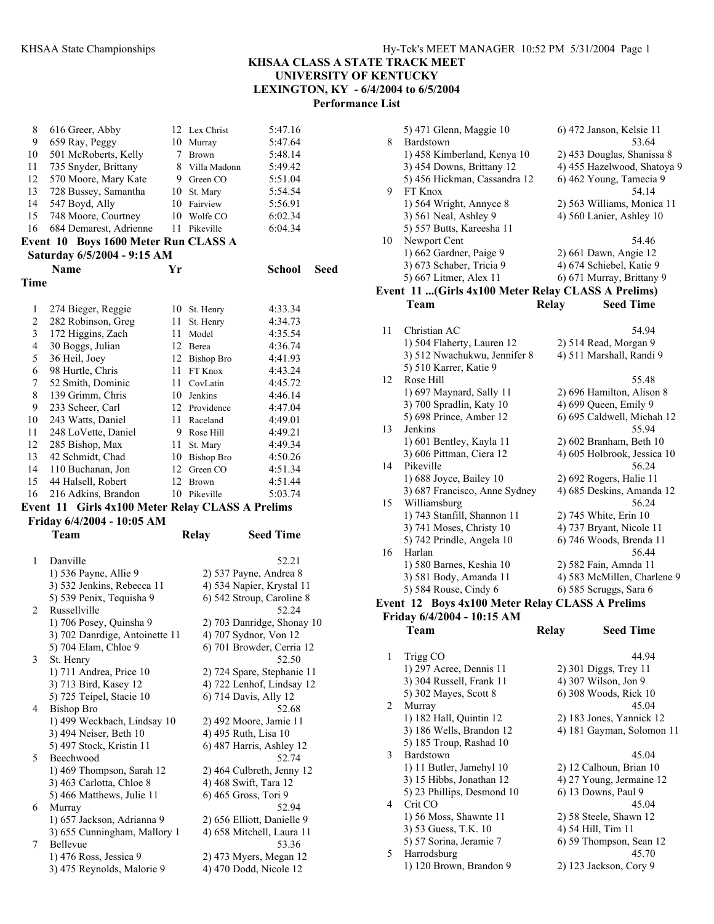# **KHSAA CLASS A STATE TRACK MEET UNIVERSITY OF KENTUCKY LEXINGTON, KY - 6/4/2004 to 6/5/2004**

**Performance List** 

| 8              | 616 Greer, Abby                                      |    | 12 Lex Christ  | 5:47.16                                          |  |
|----------------|------------------------------------------------------|----|----------------|--------------------------------------------------|--|
| 9              | 659 Ray, Peggy                                       |    | 10 Murray      | 5:47.64                                          |  |
| 10             | 501 McRoberts, Kelly                                 | 7  | <b>Brown</b>   | 5:48.14                                          |  |
| 11             | 735 Snyder, Brittany                                 |    | 8 Villa Madonn | 5:49.42                                          |  |
| 12             | 570 Moore, Mary Kate                                 |    | 9 Green CO     | 5:51.04                                          |  |
|                |                                                      |    |                |                                                  |  |
| 13             | 728 Bussey, Samantha                                 |    | 10 St. Mary    | 5:54.54                                          |  |
| 14             | 547 Boyd, Ally                                       |    | 10 Fairview    | 5:56.91                                          |  |
| 15             | 748 Moore, Courtney                                  | 10 | Wolfe CO       | 6:02.34                                          |  |
| 16             | 684 Demarest, Adrienne                               | 11 | Pikeville      | 6:04.34                                          |  |
|                | Event 10 Boys 1600 Meter Run CLASS A                 |    |                |                                                  |  |
|                | Saturday 6/5/2004 - 9:15 AM                          |    |                |                                                  |  |
|                | <b>Name</b>                                          | Yr |                | School<br>Seed                                   |  |
|                |                                                      |    |                |                                                  |  |
| Time           |                                                      |    |                |                                                  |  |
|                |                                                      |    |                |                                                  |  |
| 1              | 274 Bieger, Reggie                                   | 10 | St. Henry      | 4:33.34                                          |  |
| $\overline{c}$ | 282 Robinson, Greg                                   | 11 | St. Henry      | 4:34.73                                          |  |
| 3              | 172 Higgins, Zach                                    | 11 | Model          | 4:35.54                                          |  |
| 4              | 30 Boggs, Julian                                     |    | 12 Berea       | 4:36.74                                          |  |
| 5              | 36 Heil, Joey                                        |    | 12 Bishop Bro  | 4:41.93                                          |  |
| 6              | 98 Hurtle, Chris                                     | 11 | FT Knox        | 4:43.24                                          |  |
| 7              | 52 Smith, Dominic                                    | 11 | CovLatin       | 4:45.72                                          |  |
| 8              | 139 Grimm, Chris                                     |    | 10 Jenkins     | 4:46.14                                          |  |
|                |                                                      |    |                |                                                  |  |
| 9              | 233 Scheer, Carl                                     |    | 12 Providence  | 4:47.04                                          |  |
| 10             | 243 Watts, Daniel                                    | 11 | Raceland       | 4:49.01                                          |  |
| 11             | 248 LoVette, Daniel                                  |    | 9 Rose Hill    | 4:49.21                                          |  |
| 12             | 285 Bishop, Max                                      | 11 | St. Mary       | 4:49.34                                          |  |
| 13             | 42 Schmidt, Chad                                     |    | 10 Bishop Bro  | 4:50.26                                          |  |
| 14             | 110 Buchanan, Jon                                    | 12 | Green CO       | 4:51.34                                          |  |
| 15             | 44 Halsell, Robert                                   | 12 | <b>Brown</b>   | 4:51.44                                          |  |
|                |                                                      |    |                |                                                  |  |
| 16             | 216 Adkins, Brandon                                  |    | 10 Pikeville   | 5:03.74                                          |  |
|                |                                                      |    |                |                                                  |  |
|                | Event 11 Girls 4x100 Meter Relay CLASS A Prelims     |    |                |                                                  |  |
|                | Friday 6/4/2004 - 10:05 AM                           |    |                |                                                  |  |
|                | Team                                                 |    | <b>Relay</b>   | <b>Seed Time</b>                                 |  |
|                |                                                      |    |                |                                                  |  |
| 1              | Danville                                             |    |                | 52.21                                            |  |
|                | 1) 536 Payne, Allie 9                                |    |                | 2) 537 Payne, Andrea 8                           |  |
|                | 3) 532 Jenkins, Rebecca 11                           |    |                | 4) 534 Napier, Krystal 11                        |  |
|                | 5) 539 Penix, Tequisha 9                             |    |                | 6) 542 Stroup, Caroline 8                        |  |
| 2              | Russellville                                         |    |                | 52.24                                            |  |
|                |                                                      |    |                |                                                  |  |
|                | 1) 706 Posey, Quinsha 9                              |    |                | 2) 703 Danridge, Shonay 10                       |  |
|                | 3) 702 Danrdige, Antoinette 11                       |    |                | 4) 707 Sydnor, Von 12                            |  |
|                | 5) 704 Elam, Chloe 9                                 |    |                | 6) 701 Browder, Cerria 12                        |  |
| 3              | St. Henry                                            |    |                | 52.50                                            |  |
|                | 1) 711 Andrea, Price 10                              |    |                | 2) 724 Spare, Stephanie 11                       |  |
|                | 3) 713 Bird, Kasey 12                                |    |                | 4) 722 Lenhof, Lindsay 12                        |  |
|                | 5) 725 Teipel, Stacie 10                             |    |                | 6) 714 Davis, Ally 12                            |  |
| 4              | <b>Bishop Bro</b>                                    |    |                | 52.68                                            |  |
|                | 1) 499 Weckbach, Lindsay 10                          |    |                | 2) 492 Moore, Jamie 11                           |  |
|                | 3) 494 Neiser, Beth 10                               |    |                | 4) 495 Ruth, Lisa 10                             |  |
|                | 5) 497 Stock, Kristin 11                             |    |                | 6) 487 Harris, Ashley 12                         |  |
| 5              | Beechwood                                            |    |                | 52.74                                            |  |
|                | 1) 469 Thompson, Sarah 12                            |    |                | 2) 464 Culbreth, Jenny 12                        |  |
|                | 3) 463 Carlotta, Chloe 8                             |    |                | 4) 468 Swift, Tara 12                            |  |
|                | 5) 466 Matthews, Julie 11                            |    |                | 6) 465 Gross, Tori 9                             |  |
| 6              | Murray                                               |    |                | 52.94                                            |  |
|                |                                                      |    |                | 2) 656 Elliott, Danielle 9                       |  |
|                | 1) 657 Jackson, Adrianna 9                           |    |                |                                                  |  |
| 7              | 3) 655 Cunningham, Mallory 1<br>Bellevue             |    |                | 4) 658 Mitchell, Laura 11<br>53.36               |  |
|                |                                                      |    |                |                                                  |  |
|                | 1) 476 Ross, Jessica 9<br>3) 475 Reynolds, Malorie 9 |    |                | 2) 473 Myers, Megan 12<br>4) 470 Dodd, Nicole 12 |  |

|    | 5) 471 Glenn, Maggie 10                            |              | 6) 472 Janson, Kelsie 11                             |
|----|----------------------------------------------------|--------------|------------------------------------------------------|
| 8  | Bardstown                                          |              | 53.64                                                |
|    | 1) 458 Kimberland, Kenya 10                        |              | 2) 453 Douglas, Shanissa 8                           |
|    | 3) 454 Downs, Brittany 12                          |              | 4) 455 Hazelwood, Shatoya 9                          |
|    | 5) 456 Hickman, Cassandra 12                       |              | 6) 462 Young, Tamecia 9                              |
| 9  | FT Knox                                            |              | 54.14                                                |
|    | 1) 564 Wright, Annyce 8                            |              | 2) 563 Williams, Monica 11                           |
|    | 3) 561 Neal, Ashley 9                              |              | 4) 560 Lanier, Ashley 10                             |
|    | 5) 557 Butts, Kareesha 11                          |              |                                                      |
| 10 | Newport Cent                                       |              | 54.46                                                |
|    | 1) 662 Gardner, Paige 9                            |              | 2) 661 Dawn, Angie 12                                |
|    | 3) 673 Schaber, Tricia 9                           |              | 4) 674 Schiebel, Katie 9                             |
|    | 5) 667 Litmer, Alex 11                             |              | 6) 671 Murray, Brittany 9                            |
|    | Event 11 (Girls 4x100 Meter Relay CLASS A Prelims) |              |                                                      |
|    | <b>Team</b>                                        | <b>Relay</b> | <b>Seed Time</b>                                     |
| 11 | Christian AC                                       |              | 54.94                                                |
|    | 1) 504 Flaherty, Lauren 12                         |              | 2) 514 Read, Morgan 9                                |
|    | 3) 512 Nwachukwu, Jennifer 8                       |              | 4) 511 Marshall, Randi 9                             |
|    | 5) 510 Karrer, Katie 9                             |              |                                                      |
| 12 | Rose Hill                                          |              | 55.48                                                |
|    | 1) 697 Maynard, Sally 11                           |              | 2) 696 Hamilton, Alison 8                            |
|    | 3) 700 Spradlin, Katy 10                           |              | 4) 699 Queen, Emily 9                                |
|    | 5) 698 Prince, Amber 12                            |              | 6) 695 Caldwell, Michah 12                           |
| 13 | Jenkins                                            |              | 55.94                                                |
|    | 1) 601 Bentley, Kayla 11                           |              | 2) 602 Branham, Beth 10                              |
|    | 3) 606 Pittman, Ciera 12                           |              | 4) 605 Holbrook, Jessica 10                          |
| 14 | Pikeville                                          |              | 56.24                                                |
|    | 1) 688 Joyce, Bailey 10                            |              | 2) 692 Rogers, Halie 11                              |
|    | 3) 687 Francisco, Anne Sydney                      |              | 4) 685 Deskins, Amanda 12                            |
| 15 | Williamsburg                                       |              | 56.24                                                |
|    | 1) 743 Stanfill, Shannon 11                        |              | 2) 745 White, Erin 10                                |
|    | 3) 741 Moses, Christy 10                           |              | 4) 737 Bryant, Nicole 11                             |
|    | 5) 742 Prindle, Angela 10                          |              | 6) 746 Woods, Brenda 11                              |
| 16 | Harlan                                             |              | 56.44                                                |
|    | 1) 580 Barnes, Keshia 10<br>3) 581 Body, Amanda 11 |              | 2) 582 Fain, Amnda 11<br>4) 583 McMillen, Charlene 9 |
|    | 5) 584 Rouse, Cindy 6                              |              | 6) 585 Scruggs, Sara 6                               |
|    | Event 12 Boys 4x100 Meter Relay CLASS A Prelims    |              |                                                      |
|    | Friday 6/4/2004 - 10:15 AM                         |              |                                                      |
|    | Team                                               | <b>Relay</b> | <b>Seed Time</b>                                     |
|    |                                                    |              |                                                      |
| 1  | Trigg CO                                           |              | 44.94                                                |
|    | 1) 297 Acree, Dennis 11                            |              | 2) 301 Diggs, Trey 11                                |
|    | 3) 304 Russell, Frank 11                           |              | 4) 307 Wilson, Jon 9                                 |
|    | 5) 302 Mayes, Scott 8                              |              | 6) 308 Woods, Rick 10                                |
| 2  | Murray                                             |              | 45.04                                                |
|    | 1) 182 Hall, Quintin 12                            |              | 2) 183 Jones, Yannick 12                             |
|    | 3) 186 Wells, Brandon 12                           |              | 4) 181 Gayman, Solomon 11                            |
|    | 5) 185 Troup, Rashad 10                            |              |                                                      |
| 3  | Bardstown                                          |              | 45.04                                                |
|    | 1) 11 Butler, Jamehyl 10                           |              | 2) 12 Calhoun, Brian 10                              |
|    | 3) 15 Hibbs, Jonathan 12                           |              | 4) 27 Young, Jermaine 12                             |

5) 23 Phillips, Desmond 10 6) 13 Downs, Paul 9 4 Crit CO 45.04 1) 56 Moss, Shawnte 11 2) 58 Steele, Shawn 12<br>3) 53 Guess, T.K. 10 4) 54 Hill, Tim 11

5 Harrodsburg 45.70<br>1) 120 Brown, Brandon 9 2) 123 Jackson, Cory 9

6) 59 Thompson, Sean 12<br> $45.70$ 

3) 53 Guess, T.K. 10<br>5) 57 Sorina, Jeramie 7

1) 120 Brown, Brandon 9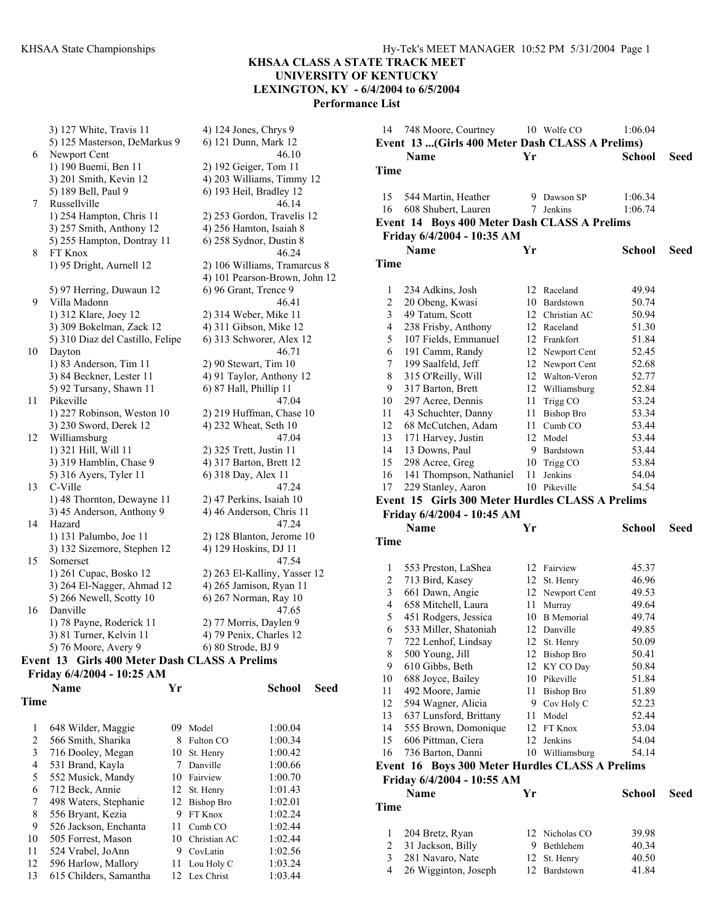#### **KHSAA CLASS A STATE TRACK MEET**

**UNIVERSITY OF KENTUCKY LEXINGTON, KY - 6/4/2004 to 6/5/2004** 

**Performance List** 

3) 127 White, Travis 11 4) 124 Jones, Chrys 9 5) 125 Masterson, DeMarkus 9 6) 121 Dunn, Mark 12 6 Newport Cent 46.10 1) 190 Buemi, Ben 11 2) 192 Geiger, Tom 11 3) 201 Smith, Kevin 12 4) 203 Williams, Timmy 12 5) 189 Bell, Paul 9 6) 193 Heil, Bradley 12 7 Russellville 46.14 1) 254 Hampton, Chris 11 2) 253 Gordon, Travelis 12 3) 257 Smith, Anthony 12 4) 256 Hamton, Isaiah 8 5) 255 Hampton, Dontray 11 6) 258 Sydnor, Dustin 8 8 FT Knox 46.24 1) 95 Dright, Aurnell 12 2) 106 Williams, Tramarcus 8 4) 101 Pearson-Brown, John 12 5) 97 Herring, Duwaun 12 6) 96 Grant, Trence 9 9 Villa Madonn 46.41 1) 312 Klare, Joey 12 2) 314 Weber, Mike 11 3) 309 Bokelman, Zack 12 4) 311 Gibson, Mike 12 5) 310 Diaz del Castillo, Felipe 6) 313 Schworer, Alex 12 10 Dayton 46.71 1) 83 Anderson, Tim 11 2) 90 Stewart, Tim 10  $3) 84$  Beckner, Lester 11  $\qquad \qquad$  4) 91 Taylor, Anthony 12 5) 92 Tursany, Shawn 11 6) 87 Hall, Phillip 11 11 Pikeville 47.04 1) 227 Robinson, Weston 10 2) 219 Huffman, Chase 10 3) 230 Sword, Derek 12 4) 232 Wheat, Seth 10 12 Williamsburg 47.04 1) 321 Hill, Will 11 2) 325 Trett, Justin 11 3) 319 Hamblin, Chase 9 4) 317 Barton, Brett 12 5) 316 Ayers, Tyler 11 6) 318 Day, Alex 11 13 C-Ville 47.24 1) 48 Thornton, Dewayne 11 2) 47 Perkins, Isaiah 10  $3)$  45 Anderson, Anthony 9 4) 46 Anderson, Chris 11 14 Hazard 47.24 1) 131 Palumbo, Joe 11 2) 128 Blanton, Jerome 10 3) 132 Sizemore, Stephen 12 4) 129 Hoskins, DJ 11 15 Somerset 47.54 1) 261 Cupac, Bosko 12 2) 263 El-Kalliny, Yasser 12 3) 264 El-Nagger, Ahmad 12 4) 265 Jamison, Ryan 11 5) 266 Newell, Scotty 10 6) 267 Norman, Ray 10 16 Danville 47.65 1) 78 Payne, Roderick 11 2) 77 Morris, Daylen 9 3) 81 Turner, Kelvin 11 4) 79 Penix, Charles 12 5) 76 Moore, Avery 9 6) 80 Strode, BJ 9

### **Event 13 Girls 400 Meter Dash CLASS A Prelims Friday 6/4/2004 - 10:25 AM**

|             | Name                   | Yг |              | School  | Seed |
|-------------|------------------------|----|--------------|---------|------|
| <b>Time</b> |                        |    |              |         |      |
|             |                        |    |              |         |      |
| 1           | 648 Wilder, Maggie     | 09 | Model        | 1:00.04 |      |
| 2           | 566 Smith, Sharika     | 8  | Fulton CO    | 1:00.34 |      |
| 3           | 716 Dooley, Megan      | 10 | St. Henry    | 1:00.42 |      |
| 4           | 531 Brand, Kayla       |    | Danville     | 1:00.66 |      |
| 5           | 552 Musick, Mandy      | 10 | Fairview     | 1:00.70 |      |
| 6           | 712 Beck, Annie        |    | 12 St. Henry | 1:01.43 |      |
| 7           | 498 Waters, Stephanie  | 12 | Bishop Bro   | 1:02.01 |      |
| 8           | 556 Bryant, Kezia      | 9  | FT Knox      | 1:02.24 |      |
| 9           | 526 Jackson, Enchanta  | 11 | Cumb CO      | 1:02.44 |      |
| 10          | 505 Forrest, Mason     | 10 | Christian AC | 1:02.44 |      |
| 11          | 524 Vrabel, JoAnn      | 9  | CovLatin     | 1:02.56 |      |
| 12          | 596 Harlow, Mallory    | 11 | Lou Holy C   | 1:03.24 |      |
| 13          | 615 Childers, Samantha | 12 | Lex Christ   | 1:03.44 |      |

| 14             | 748 Moore, Courtney                              |    | 10 Wolfe CO               | 1:06.04       |      |
|----------------|--------------------------------------------------|----|---------------------------|---------------|------|
|                | Event 13  (Girls 400 Meter Dash CLASS A Prelims) |    |                           |               |      |
|                | Name                                             | Yr |                           | <b>School</b> | Seed |
| Time           |                                                  |    |                           |               |      |
|                |                                                  |    |                           |               |      |
| 15             | 544 Martin, Heather                              |    | 9 Dawson SP               | 1:06.34       |      |
| 16             | 608 Shubert, Lauren                              | 7  | Jenkins                   | 1:06.74       |      |
|                | Event 14 Boys 400 Meter Dash CLASS A Prelims     |    |                           |               |      |
|                | Friday 6/4/2004 - 10:35 AM                       |    |                           |               |      |
|                | Name                                             | Yr |                           | <b>School</b> | Seed |
| Time           |                                                  |    |                           |               |      |
|                |                                                  |    |                           |               |      |
| 1              | 234 Adkins, Josh                                 |    | 12 Raceland               | 49.94         |      |
| $\overline{c}$ | 20 Obeng, Kwasi                                  |    | 10 Bardstown              | 50.74         |      |
| 3              | 49 Tatum, Scott                                  |    | 12 Christian AC           | 50.94         |      |
| 4              | 238 Frisby, Anthony                              |    | 12 Raceland               | 51.30         |      |
| 5              | 107 Fields, Emmanuel                             |    | 12 Frankfort              | 51.84         |      |
| 6              | 191 Camm, Randy                                  |    | 12 Newport Cent           | 52.45         |      |
| 7              | 199 Saalfeld, Jeff                               |    | 12 Newport Cent           | 52.68         |      |
| 8              | 315 O'Reilly, Will                               |    | 12 Walton-Veron           | 52.77         |      |
| 9              | 317 Barton, Brett                                |    | 12 Williamsburg           | 52.84         |      |
| 10             | 297 Acree, Dennis                                |    | 11 Trigg CO               | 53.24         |      |
| 11             | 43 Schuchter, Danny                              |    | 11 Bishop Bro             | 53.34         |      |
| 12             | 68 McCutchen, Adam                               |    | 11 Cumb CO                | 53.44         |      |
| 13             | 171 Harvey, Justin                               |    | 12 Model                  | 53.44         |      |
| 14             | 13 Downs, Paul                                   |    | 9 Bardstown               | 53.44         |      |
| 15             | 298 Acree, Greg                                  |    | 10 Trigg CO               | 53.84         |      |
| 16             | 141 Thompson, Nathaniel                          | 11 | Jenkins                   | 54.04         |      |
| 17             | 229 Stanley, Aaron                               |    | 10 Pikeville              | 54.54         |      |
|                |                                                  |    |                           |               |      |
|                | Event 15 Girls 300 Meter Hurdles CLASS A Prelims |    |                           |               |      |
|                | Friday 6/4/2004 - 10:45 AM                       |    |                           |               |      |
|                | <b>Name</b>                                      | Yr |                           | <b>School</b> | Seed |
| Time           |                                                  |    |                           |               |      |
|                |                                                  |    |                           |               |      |
| 1              |                                                  |    | 12 Fairview               | 45.37         |      |
| 2              | 553 Preston, LaShea                              |    |                           | 46.96         |      |
| 3              | 713 Bird, Kasey                                  |    | 12 St. Henry              | 49.53         |      |
| $\overline{4}$ | 661 Dawn, Angie<br>658 Mitchell, Laura           | 11 | 12 Newport Cent<br>Murray | 49.64         |      |
| 5              |                                                  |    | 10 B Memorial             | 49.74         |      |
| 6              | 451 Rodgers, Jessica<br>533 Miller, Shatoniah    |    | 12 Danville               | 49.85         |      |
| $\overline{7}$ | 722 Lenhof, Lindsay                              |    | 12 St. Henry              | 50.09         |      |
| 8              | 500 Young, Jill                                  |    | 12 Bishop Bro             | 50.41         |      |
| 9              | 610 Gibbs, Beth                                  |    | 12 KY CO Day              | 50.84         |      |
| 10             | 688 Joyce, Bailey                                |    | 10 Pikeville              | 51.84         |      |
| 11             | 492 Moore, Jamie                                 | 11 | Bishop Bro                | 51.89         |      |
| 12             | 594 Wagner, Alicia                               |    | 9 Cov Holy C              | 52.23         |      |
| 13             | 637 Lunsford, Brittany                           | 11 | Model                     | 52.44         |      |
| 14             | 555 Brown, Domonique                             |    | 12 FT Knox                | 53.04         |      |
| 15             | 606 Pittman, Ciera                               | 12 | Jenkins                   | 54.04         |      |
| 16             | 736 Barton, Danni                                |    | 10 Williamsburg           | 54.14         |      |
|                | Event 16 Boys 300 Meter Hurdles CLASS A Prelims  |    |                           |               |      |
|                | Friday 6/4/2004 - 10:55 AM                       |    |                           |               |      |
|                | <b>Name</b>                                      | Yr |                           | School        | Seed |
| Time           |                                                  |    |                           |               |      |
|                |                                                  |    |                           |               |      |
| 1              | 204 Bretz, Ryan                                  |    | 12 Nicholas CO            | 39.98         |      |
| 2              | 31 Jackson, Billy                                |    | 9 Bethlehem               | 40.34         |      |

4 26 Wigginton, Joseph 12 Bardstown 41.84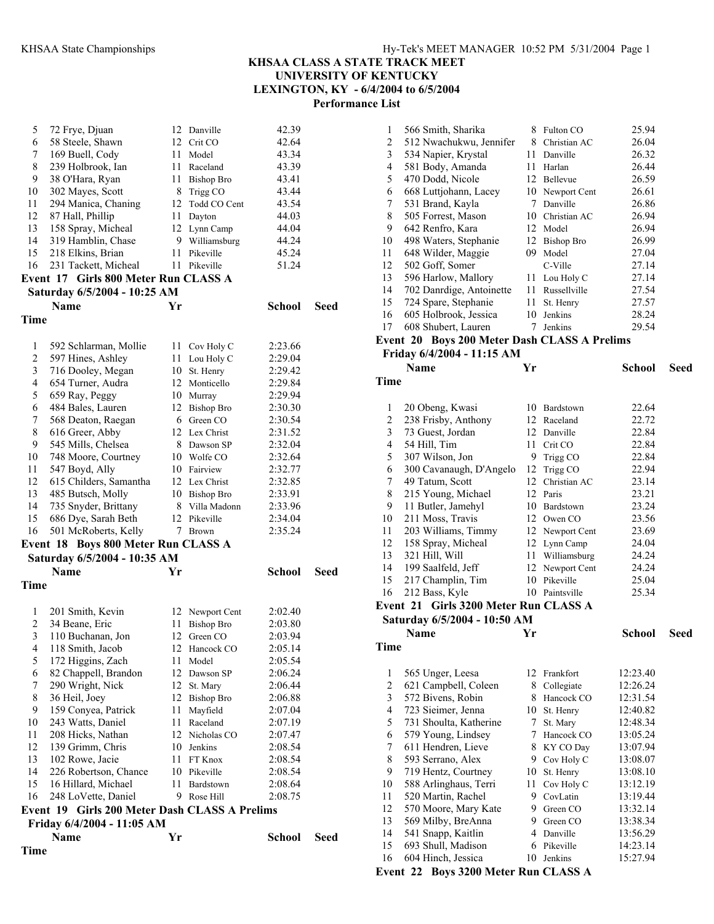| Time           | Name                                          | Yr   |                   | <b>School</b> | Seed |
|----------------|-----------------------------------------------|------|-------------------|---------------|------|
|                | Friday 6/4/2004 - 11:05 AM                    |      |                   |               |      |
|                | Event 19 Girls 200 Meter Dash CLASS A Prelims |      |                   |               |      |
| 16             | 248 LoVette, Daniel                           | 9    | Rose Hill         | 2:08.75       |      |
| 15             | 16 Hillard, Michael                           | 11   | Bardstown         | 2:08.64       |      |
| 14             | 226 Robertson, Chance                         |      | 10 Pikeville      | 2:08.54       |      |
| 13             | 102 Rowe, Jacie                               | 11   | FT Knox           | 2:08.54       |      |
| 12             | 139 Grimm, Chris                              |      | 10 Jenkins        | 2:08.54       |      |
| 11             | 208 Hicks, Nathan                             |      | 12 Nicholas CO    | 2:07.47       |      |
| 10             | 243 Watts, Daniel                             | 11   | Raceland          | 2:07.19       |      |
| 9              | 159 Conyea, Patrick                           | 11   | Mayfield          | 2:07.04       |      |
| 8              | 36 Heil, Joey                                 | 12   | <b>Bishop Bro</b> | 2:06.88       |      |
| 7              | 290 Wright, Nick                              | 12   | St. Mary          | 2:06.44       |      |
| 6              | 82 Chappell, Brandon                          | 12   | Dawson SP         | 2:06.24       |      |
| 5              | 172 Higgins, Zach                             | 11   | Model             | 2:05.54       |      |
| 4              | 118 Smith, Jacob                              |      | 12 Hancock CO     | 2:05.14       |      |
| 3              | 110 Buchanan, Jon                             | 12   | Green CO          | 2:03.94       |      |
| $\overline{c}$ | 34 Beane, Eric                                | 11   | <b>Bishop Bro</b> | 2:03.80       |      |
| 1              | 201 Smith, Kevin                              |      | 12 Newport Cent   | 2:02.40       |      |
|                |                                               |      |                   |               |      |
| Time           |                                               |      |                   |               |      |
|                | <b>Name</b>                                   | Yr   |                   | <b>School</b> | Seed |
|                | Saturday 6/5/2004 - 10:35 AM                  |      |                   |               |      |
|                | Event 18 Boys 800 Meter Run CLASS A           |      |                   |               |      |
|                |                                               |      | Brown             |               |      |
| 16             | 501 McRoberts, Kelly                          | 7    |                   | 2:35.24       |      |
| 15             | 686 Dye, Sarah Beth                           | 12   | Pikeville         | 2:34.04       |      |
| 14             | 735 Snyder, Brittany                          | 8    | Villa Madonn      | 2:33.96       |      |
| 13             | 485 Butsch, Molly                             |      | 10 Bishop Bro     | 2:33.91       |      |
| 12             | 615 Childers, Samantha                        |      | 12 Lex Christ     | 2:32.85       |      |
| 11             | 547 Boyd, Ally                                |      | 10 Fairview       | 2:32.77       |      |
| 10             | 748 Moore, Courtney                           |      | 10 Wolfe CO       | 2:32.64       |      |
| 9              | 545 Mills, Chelsea                            |      | 8 Dawson SP       | 2:32.04       |      |
| 8              | 616 Greer, Abby                               |      | 12 Lex Christ     | 2:31.52       |      |
| 7              | 568 Deaton, Raegan                            |      | 6 Green CO        | 2:30.54       |      |
| 6              | 484 Bales, Lauren                             |      | 12 Bishop Bro     | 2:30.30       |      |
| 5              | 659 Ray, Peggy                                |      | 10 Murray         | 2:29.94       |      |
| $\overline{4}$ | 654 Turner, Audra                             |      | 12 Monticello     | 2:29.84       |      |
| 3              | 716 Dooley, Megan                             |      | 10 St. Henry      | 2:29.42       |      |
| 2              | 597 Hines, Ashley                             | 11   | Lou Holy C        | 2:29.04       |      |
| 1              | 592 Schlarman, Mollie                         |      | 11 Cov Holy C     | 2:23.66       |      |
|                |                                               |      |                   |               |      |
| Time           |                                               |      |                   |               |      |
|                | <b>Name</b>                                   | Yr   |                   | <b>School</b> | Seed |
|                | Saturday 6/5/2004 - 10:25 AM                  |      |                   |               |      |
|                | Event 17 Girls 800 Meter Run CLASS A          |      |                   |               |      |
| 16             | 231 Tackett, Micheal                          | 11   | Pikeville         | 51.24         |      |
| 15             | 218 Elkins, Brian                             | 11   | Pikeville         | 45.24         |      |
| 14             | 319 Hamblin, Chase                            | 9    | Williamsburg      | 44.24         |      |
| 13             | 158 Spray, Micheal                            |      | 12 Lynn Camp      | 44.04         |      |
| 12             | 87 Hall, Phillip                              |      | 11 Dayton         | 44.03         |      |
| 11             | 294 Manica, Chaning                           |      | 12 Todd CO Cent   | 43.54         |      |
| 10             | 302 Mayes, Scott                              |      | 8 Trigg CO        | 43.44         |      |
| 9              | 38 O'Hara, Ryan                               |      | 11 Bishop Bro     | 43.41         |      |
| 8              | 239 Holbrook, Ian                             |      | 11 Raceland       | 43.39         |      |
| 7              | 169 Buell, Cody                               | 11 - | Model             | 43.34         |      |
| 6              | 58 Steele, Shawn                              |      | 12 Crit CO        | 42.64         |      |
| 5              | 72 Frye, Djuan                                |      | 12 Danville       | 42.39         |      |
|                |                                               |      |                   |               |      |

| $\mathbf{1}$             | 566 Smith, Sharika                           | 8    | Fulton CO         | 25.94         |      |
|--------------------------|----------------------------------------------|------|-------------------|---------------|------|
| $\overline{c}$           | 512 Nwachukwu, Jennifer                      | 8    | Christian AC      | 26.04         |      |
| $\overline{\mathbf{3}}$  | 534 Napier, Krystal                          |      | 11 Danville       | 26.32         |      |
| $\overline{\mathcal{L}}$ | 581 Body, Amanda                             |      | 11 Harlan         | 26.44         |      |
| 5                        | 470 Dodd, Nicole                             |      | 12 Bellevue       | 26.59         |      |
| 6                        | 668 Luttjohann, Lacey                        |      | 10 Newport Cent   | 26.61         |      |
| 7                        | 531 Brand, Kayla                             | 7    | Danville          | 26.86         |      |
| $\,$ $\,$                | 505 Forrest, Mason                           |      | 10 Christian AC   | 26.94         |      |
| 9                        | 642 Renfro, Kara                             |      | 12 Model          | 26.94         |      |
| 10                       | 498 Waters, Stephanie                        | 12   | <b>Bishop Bro</b> | 26.99         |      |
| 11                       | 648 Wilder, Maggie                           | 09.  | Model             | 27.04         |      |
| 12                       | 502 Goff, Somer                              |      | C-Ville           | 27.14         |      |
| 13                       | 596 Harlow, Mallory                          |      | 11 Lou Holy C     | 27.14         |      |
| 14                       | 702 Danrdige, Antoinette                     | 11 - | Russellville      | 27.54         |      |
| 15                       | 724 Spare, Stephanie                         | 11   | St. Henry         | 27.57         |      |
| 16                       | 605 Holbrook, Jessica                        | 10   | Jenkins           | 28.24         |      |
| 17                       | 608 Shubert, Lauren                          | 7    | Jenkins           | 29.54         |      |
|                          | Event 20 Boys 200 Meter Dash CLASS A Prelims |      |                   |               |      |
|                          | Friday 6/4/2004 - 11:15 AM                   |      |                   |               |      |
|                          | Name                                         | Yr   |                   | <b>School</b> | Seed |
|                          |                                              |      |                   |               |      |
| Time                     |                                              |      |                   |               |      |
|                          |                                              |      |                   |               |      |
| 1                        | 20 Obeng, Kwasi                              |      | 10 Bardstown      | 22.64         |      |
| $\overline{c}$           | 238 Frisby, Anthony                          |      | 12 Raceland       | 22.72         |      |
| $\overline{\mathbf{3}}$  | 73 Guest, Jordan                             |      | 12 Danville       | 22.84         |      |
| 4                        | 54 Hill, Tim                                 | 11   | Crit CO           | 22.84         |      |
| 5                        | 307 Wilson, Jon                              | 9    | Trigg CO          | 22.84         |      |
| 6                        | 300 Cavanaugh, D'Angelo                      | 12   | Trigg CO          | 22.94         |      |
| 7                        | 49 Tatum, Scott                              |      | 12 Christian AC   | 23.14         |      |
| $\,$ $\,$                | 215 Young, Michael                           |      | 12 Paris          | 23.21         |      |
| 9                        | 11 Butler, Jamehyl                           |      | 10 Bardstown      | 23.24         |      |
| 10                       | 211 Moss, Travis                             |      | 12 Owen CO        | 23.56         |      |
| 11                       | 203 Williams, Timmy                          |      | 12 Newport Cent   | 23.69         |      |
| 12                       | 158 Spray, Micheal                           |      | 12 Lynn Camp      | 24.04         |      |
| 13                       | 321 Hill, Will                               | 11   | Williamsburg      | 24.24         |      |
| 14                       | 199 Saalfeld, Jeff                           | 12   | Newport Cent      | 24.24         |      |
| 15                       | 217 Champlin, Tim                            | 10   | Pikeville         | 25.04         |      |
| 16                       | 212 Bass, Kyle                               |      | 10 Paintsville    | 25.34         |      |
|                          | Event 21 Girls 3200 Meter Run CLASS A        |      |                   |               |      |
|                          | Saturday 6/5/2004 - 10:50 AM                 |      |                   |               |      |
|                          | Name                                         | Yr   |                   | <b>School</b> | Seed |
| Time                     |                                              |      |                   |               |      |
|                          |                                              |      |                   |               |      |
| 1                        | 565 Unger, Leesa                             | 12   | Frankfort         | 12:23.40      |      |
| $\overline{c}$           | 621 Campbell, Coleen                         | 8    | Collegiate        | 12:26.24      |      |
| $\overline{\mathbf{3}}$  | 572 Bivens, Robin                            | 8    | Hancock CO        | 12:31.54      |      |
| $\overline{\mathcal{L}}$ | 723 Sieimer, Jenna                           | 10   | St. Henry         | 12:40.82      |      |
| 5                        | 731 Shoulta, Katherine                       | 7    | St. Mary          | 12:48.34      |      |
| 6                        | 579 Young, Lindsey                           | 7    | Hancock CO        | 13:05.24      |      |
| $\boldsymbol{7}$         | 611 Hendren, Lieve                           | 8    | KY CO Day         | 13:07.94      |      |
| $\,$ $\,$                | 593 Serrano, Alex                            | 9    | Cov Holy C        | 13:08.07      |      |
| 9                        | 719 Hentz, Courtney                          | 10   | St. Henry         | 13:08.10      |      |
| 10                       | 588 Arlinghaus, Terri                        | 11   | Cov Holy C        | 13:12.19      |      |
| 11                       | 520 Martin, Rachel                           | 9    | CovLatin          | 13:19.44      |      |
| 12                       | 570 Moore, Mary Kate                         | 9.   | Green CO          | 13:32.14      |      |
| 13                       | 569 Milby, BreAnna                           | 9    | Green CO          | 13:38.34      |      |
| 14                       | 541 Snapp, Kaitlin                           | 4    | Danville          | 13:56.29      |      |
| 15                       | 693 Shull, Madison                           | 6    | Pikeville         | 14:23.14      |      |
| 16                       | 604 Hinch, Jessica                           | 10   | Jenkins           | 15:27.94      |      |
|                          | Event 22 Boys 3200 Meter Run CLASS A         |      |                   |               |      |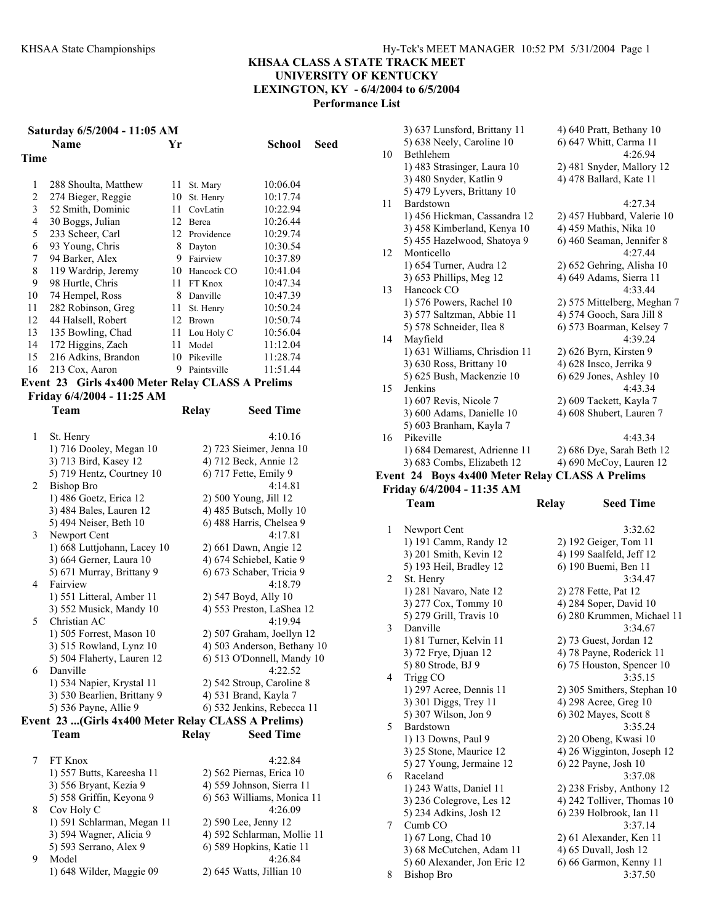|                | Saturday 6/5/2004 - 11:05 AM                       |      |               |                                       |      |
|----------------|----------------------------------------------------|------|---------------|---------------------------------------|------|
|                | <b>Name</b>                                        | Yr   |               | School                                | Seed |
| Time           |                                                    |      |               |                                       |      |
|                |                                                    |      |               |                                       |      |
| 1              | 288 Shoulta, Matthew                               | 11 - | St. Mary      | 10:06.04                              |      |
| 2              | 274 Bieger, Reggie                                 |      | 10 St. Henry  | 10:17.74                              |      |
| 3              | 52 Smith, Dominic                                  |      | 11 CovLatin   | 10:22.94                              |      |
| $\overline{4}$ | 30 Boggs, Julian                                   |      | 12 Berea      | 10:26.44                              |      |
| 5              | 233 Scheer, Carl                                   |      | 12 Providence | 10:29.74                              |      |
| 6              | 93 Young, Chris                                    |      | 8 Dayton      | 10:30.54                              |      |
| 7              | 94 Barker, Alex                                    |      | 9 Fairview    | 10:37.89                              |      |
| 8              | 119 Wardrip, Jeremy                                |      | 10 Hancock CO | 10:41.04                              |      |
| 9              | 98 Hurtle, Chris                                   |      | 11 FT Knox    | 10:47.34                              |      |
| 10             | 74 Hempel, Ross                                    |      | 8 Danville    | 10:47.39                              |      |
| 11             | 282 Robinson, Greg                                 |      | 11 St. Henry  | 10:50.24                              |      |
| 12             | 44 Halsell, Robert                                 |      | 12 Brown      | 10:50.74                              |      |
| 13             | 135 Bowling, Chad                                  |      | 11 Lou Holy C | 10:56.04                              |      |
| 14             | 172 Higgins, Zach                                  |      | 11 Model      | 11:12.04                              |      |
| 15             | 216 Adkins, Brandon                                |      | 10 Pikeville  | 11:28.74                              |      |
| 16             | 213 Cox, Aaron                                     | 9.   | Paintsville   | 11:51.44                              |      |
|                |                                                    |      |               |                                       |      |
|                | Event 23 Girls 4x400 Meter Relay CLASS A Prelims   |      |               |                                       |      |
|                | Friday 6/4/2004 - 11:25 AM                         |      |               |                                       |      |
|                | Team                                               |      | <b>Relay</b>  | <b>Seed Time</b>                      |      |
|                |                                                    |      |               |                                       |      |
| 1              | St. Henry                                          |      |               | 4:10.16                               |      |
|                | 1) 716 Dooley, Megan 10                            |      |               | 2) 723 Sieimer, Jenna 10              |      |
|                | 3) 713 Bird, Kasey 12                              |      |               | 4) 712 Beck, Annie 12                 |      |
|                | 5) 719 Hentz, Courtney 10                          |      |               | 6) 717 Fette, Emily 9                 |      |
| $\overline{2}$ | <b>Bishop Bro</b>                                  |      |               | 4:14.81                               |      |
|                | 1) 486 Goetz, Erica 12                             |      |               | 2) 500 Young, Jill 12                 |      |
|                | 3) 484 Bales, Lauren 12                            |      |               | 4) 485 Butsch, Molly 10               |      |
|                | 5) 494 Neiser, Beth 10                             |      |               | 6) 488 Harris, Chelsea 9              |      |
| 3              | Newport Cent                                       |      |               | 4:17.81                               |      |
|                | 1) 668 Luttjohann, Lacey 10                        |      |               | 2) 661 Dawn, Angie 12                 |      |
|                | 3) 664 Gerner, Laura 10                            |      |               | 4) 674 Schiebel, Katie 9              |      |
|                | 5) 671 Murray, Brittany 9                          |      |               | 6) 673 Schaber, Tricia 9              |      |
| 4              | Fairview                                           |      |               | 4:18.79                               |      |
|                | 1) 551 Litteral, Amber 11                          |      |               | 2) 547 Boyd, Ally 10                  |      |
|                | 3) 552 Musick, Mandy 10                            |      |               | 4) 553 Preston, LaShea 12             |      |
| 5              | Christian AC                                       |      |               | 4:19.94                               |      |
|                | 1) 505 Forrest, Mason 10                           |      |               | 2) 507 Graham, Joellyn 12             |      |
|                | 3) 515 Rowland, Lynz 10                            |      |               | 4) 503 Anderson, Bethany 10           |      |
|                | 5) 504 Flaherty, Lauren 12                         |      |               | 6) 513 O'Donnell, Mandy 10<br>4:22.52 |      |
| 6              | Danville                                           |      |               | 2) 542 Stroup, Caroline 8             |      |
|                | 1) 534 Napier, Krystal 11                          |      |               |                                       |      |
|                | 3) 530 Bearlien, Brittany 9                        |      |               | 4) 531 Brand, Kayla 7                 |      |
|                | 5) 536 Payne, Allie 9                              |      |               | 6) 532 Jenkins, Rebecca 11            |      |
|                | Event 23 (Girls 4x400 Meter Relay CLASS A Prelims) |      |               |                                       |      |
|                | Team                                               |      | Relay         | <b>Seed Time</b>                      |      |
|                |                                                    |      |               |                                       |      |
| 7              | FT Knox                                            |      |               | 4:22.84                               |      |
|                | 1) 557 Butts, Kareesha 11                          |      |               | 2) 562 Piernas, Erica 10              |      |
|                | 3) 556 Bryant, Kezia 9                             |      |               | 4) 559 Johnson, Sierra 11             |      |
|                | 5) 558 Griffin, Keyona 9                           |      |               | 6) 563 Williams, Monica 11            |      |
| 8              | Cov Holy C                                         |      |               | 4:26.09                               |      |
|                | 1) 591 Schlarman, Megan 11                         |      |               | 2) 590 Lee, Jenny 12                  |      |
|                | 3) 594 Wagner, Alicia 9                            |      |               | 4) 592 Schlarman, Mollie 11           |      |
|                | 5) 593 Serrano, Alex 9                             |      |               | 6) 589 Hopkins, Katie 11              |      |
| 9              | Model                                              |      |               | 4:26.84                               |      |
|                | 1) 648 Wilder, Maggie 09                           |      |               | 2) 645 Watts, Jillian 10              |      |

|    | 3) 637 Lunsford, Brittany 11                    | 4) 640 Pratt, Bethany 10                             |
|----|-------------------------------------------------|------------------------------------------------------|
|    | 5) 638 Neely, Caroline 10                       | 6) 647 Whitt, Carma 11                               |
| 10 | Bethlehem                                       | 4:26.94                                              |
|    | 1) 483 Strasinger, Laura 10                     | 2) 481 Snyder, Mallory 12                            |
|    | 3) 480 Snyder, Katlin 9                         | 4) 478 Ballard, Kate 11                              |
|    | 5) 479 Lyvers, Brittany 10                      |                                                      |
| 11 | Bardstown                                       | 4:27.34                                              |
|    | 1) 456 Hickman, Cassandra 12                    | 2) 457 Hubbard, Valerie 10                           |
|    | 3) 458 Kimberland, Kenya 10                     | 4) 459 Mathis, Nika 10                               |
|    | 5) 455 Hazelwood, Shatoya 9                     | 6) 460 Seaman, Jennifer 8                            |
| 12 | Monticello                                      | 4:27.44                                              |
|    | 1) 654 Turner, Audra 12                         | 2) 652 Gehring, Alisha 10<br>4) 649 Adams, Sierra 11 |
| 13 | 3) 653 Phillips, Meg 12<br>Hancock CO           | 4:33.44                                              |
|    | 1) 576 Powers, Rachel 10                        | 2) 575 Mittelberg, Meghan 7                          |
|    | 3) 577 Saltzman, Abbie 11                       | 4) 574 Gooch, Sara Jill 8                            |
|    | 5) 578 Schneider, Ilea 8                        | 6) 573 Boarman, Kelsey 7                             |
| 14 | Mayfield                                        | 4:39.24                                              |
|    | 1) 631 Williams, Chrisdion 11                   | 2) 626 Byrn, Kirsten 9                               |
|    | 3) 630 Ross, Brittany 10                        | 4) 628 Insco, Jerrika 9                              |
|    | 5) 625 Bush, Mackenzie 10                       | 6) 629 Jones, Ashley 10                              |
| 15 | Jenkins                                         | 4:43.34                                              |
|    | 1) 607 Revis, Nicole 7                          | 2) 609 Tackett, Kayla 7                              |
|    | 3) 600 Adams, Danielle 10                       | 4) 608 Shubert, Lauren 7                             |
|    | 5) 603 Branham, Kayla 7                         |                                                      |
| 16 | Pikeville                                       | 4:43.34                                              |
|    | 1) 684 Demarest, Adrienne 11                    | 2) 686 Dye, Sarah Beth 12                            |
|    | 3) 683 Combs, Elizabeth 12                      | 4) 690 McCoy, Lauren 12                              |
|    | Event 24 Boys 4x400 Meter Relay CLASS A Prelims |                                                      |
|    | Friday 6/4/2004 - 11:35 AM                      |                                                      |
|    | Team                                            | <b>Relay</b><br><b>Seed Time</b>                     |
| 1  | Newport Cent                                    | 3:32.62                                              |
|    | 1) 191 Camm, Randy 12                           | 2) 192 Geiger, Tom 11                                |
|    | 3) 201 Smith, Kevin 12                          | 4) 199 Saalfeld, Jeff 12                             |
|    | 5) 193 Heil, Bradley 12                         | 6) 190 Buemi, Ben 11                                 |
| 2  | St. Henry                                       | 3:34.47                                              |
|    | 1) 281 Navaro, Nate 12                          | 2) 278 Fette, Pat 12                                 |
|    | 3) 277 Cox, Tommy 10                            | 4) 284 Soper, David 10                               |
|    | 5) 279 Grill, Travis 10                         | 6) 280 Krummen, Michael 11                           |
| 3  | Danville                                        | 3:34.67                                              |
|    | 1) 81 Turner, Kelvin 11                         | 2) 73 Guest, Jordan 12                               |
|    | 3) 72 Frye, Djuan 12                            | 4) 78 Payne, Roderick 11                             |
| 4  | 5) 80 Strode, BJ 9                              | 6) 75 Houston, Spencer 10<br>3:35.15                 |
|    | Trigg CO<br>1) 297 Acree, Dennis 11             | 2) 305 Smithers, Stephan 10                          |
|    | 3) 301 Diggs, Trey 11                           | 4) 298 Acree, Greg 10                                |
|    | 5) 307 Wilson, Jon 9                            | 6) 302 Mayes, Scott 8                                |
| 5  | Bardstown                                       | 3:35.24                                              |
|    | 1) 13 Downs, Paul 9                             | 2) 20 Obeng, Kwasi 10                                |
|    | 3) 25 Stone Maurice 12                          | 4) 26 Wigginton Joseph 12                            |

|   | 1) 13 Downs, Paul 9          | $2)$ 20 Obeng, Kwasi 10     |
|---|------------------------------|-----------------------------|
|   | 3) 25 Stone, Maurice 12      | 4) 26 Wigginton, Joseph 12  |
|   | 5) 27 Young, Jermaine 12     | $6$ ) 22 Payne, Josh 10     |
| 6 | Raceland                     | 3:37.08                     |
|   | 1) 243 Watts, Daniel 11      | $2)$ 238 Frisby, Anthony 12 |
|   | 3) 236 Colegrove, Les 12     | 4) 242 Tolliver, Thomas 10  |
|   | 5) 234 Adkins, Josh 12       | 6) 239 Holbrook, Ian 11     |
|   | Cumb CO                      | 3:37.14                     |
|   | 1) 67 Long, Chad 10          | 2) 61 Alexander, Ken 11     |
|   | 3) 68 McCutchen, Adam 11     | 4) 65 Duvall, Josh 12       |
|   | 5) 60 Alexander, Jon Eric 12 | 6) 66 Garmon, Kenny 11      |
|   | Bishop Bro                   | 3:37.50                     |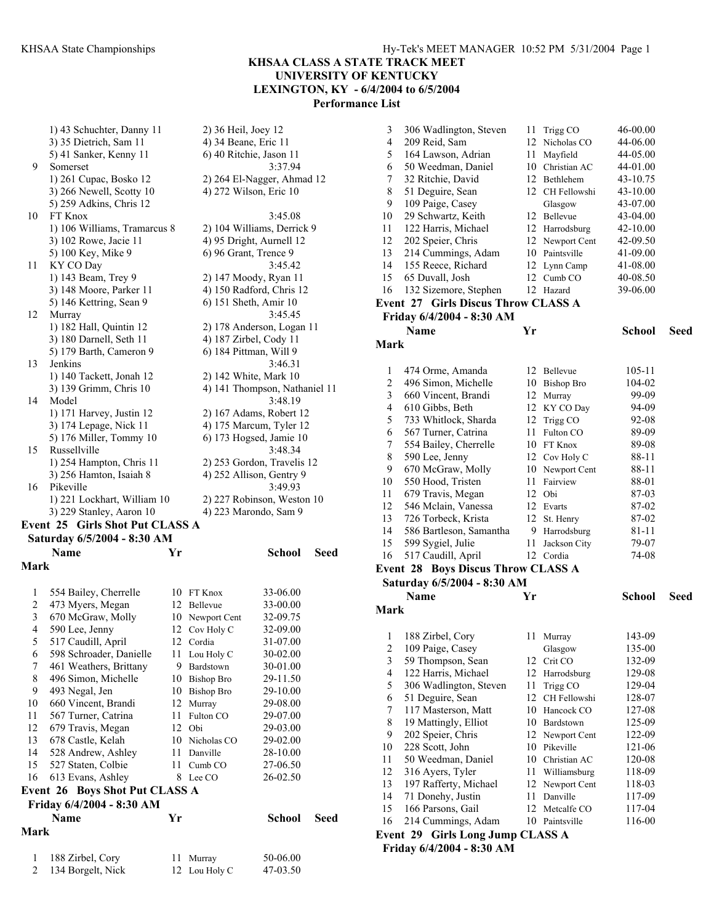**KHSAA CLASS A STATE TRACK MEET** 

**UNIVERSITY OF KENTUCKY LEXINGTON, KY - 6/4/2004 to 6/5/2004** 

**Performance List** 

1) 43 Schuchter, Danny 11 2) 36 Heil, Joey 12 3) 35 Dietrich, Sam 11 4) 34 Beane, Eric 11 5) 41 Sanker, Kenny 11 6) 40 Ritchie, Jason 11 9 Somerset 3:37.94 1) 261 Cupac, Bosko 12 2) 264 El-Nagger, Ahmad 12 3) 266 Newell, Scotty 10 4) 272 Wilson, Eric 10 5) 259 Adkins, Chris 12 10 FT Knox 3:45.08 1) 106 Williams, Tramarcus 8 2) 104 Williams, Derrick 9 3) 102 Rowe, Jacie 11 4) 95 Dright, Aurnell 12 5) 100 Key, Mike 9 6) 96 Grant, Trence 9 11 KY CO Day 3:45.42 1) 143 Beam, Trey 9 2) 147 Moody, Ryan 11 3) 148 Moore, Parker 11 4) 150 Radford, Chris 12 5) 146 Kettring, Sean 9 6) 151 Sheth, Amir 10 12 Murray 3:45.45 1) 182 Hall, Quintin 12 2) 178 Anderson, Logan 11 3) 180 Darnell, Seth 11 4) 187 Zirbel, Cody 11<br>5) 179 Barth, Cameron 9 6) 184 Pittman, Will 9 5) 179 Barth, Cameron 9 13 Jenkins 3:46.31 1) 140 Tackett, Jonah 12 2) 142 White, Mark 10 3) 139 Grimm, Chris 10 4) 141 Thompson, Nathaniel 11 14 Model 3:48.19 1) 171 Harvey, Justin 12 2) 167 Adams, Robert 12 3) 174 Lepage, Nick 11 4) 175 Marcum, Tyler 12 5) 176 Miller, Tommy 10 6) 173 Hogsed, Jamie 10 15 Russellville 3:48.34 1) 254 Hampton, Chris 11 2) 253 Gordon, Travelis 12 3) 256 Hamton, Isaiah 8 4) 252 Allison, Gentry 9 16 Pikeville 3:49.93 1) 221 Lockhart, William 10 2) 227 Robinson, Weston 10 3) 229 Stanley, Aaron 10 4) 223 Marondo, Sam 9 **Event 25 Girls Shot Put CLASS A Saturday 6/5/2004 - 8:30 AM** 

|                | Name                                  | Yr |                   | School   | Seed |
|----------------|---------------------------------------|----|-------------------|----------|------|
| Mark           |                                       |    |                   |          |      |
|                |                                       |    |                   |          |      |
| 1              | 554 Bailey, Cherrelle                 | 10 | FT Knox           | 33-06.00 |      |
| 2              | 473 Myers, Megan                      | 12 | Bellevue          | 33-00.00 |      |
| 3              | 670 McGraw, Molly                     | 10 | Newport Cent      | 32-09.75 |      |
| 4              | 590 Lee, Jenny                        | 12 | Cov Holy C        | 32-09.00 |      |
| 5              | 517 Caudill, April                    | 12 | Cordia            | 31-07.00 |      |
| 6              | 598 Schroader, Danielle               | 11 | Lou Holy C        | 30-02.00 |      |
| 7              | 461 Weathers, Brittany                | 9  | Bardstown         | 30-01.00 |      |
| 8              | 496 Simon, Michelle                   | 10 | <b>Bishop Bro</b> | 29-11.50 |      |
| 9              | 493 Negal, Jen                        | 10 | <b>Bishop Bro</b> | 29-10.00 |      |
| 10             | 660 Vincent, Brandi                   | 12 | Murray            | 29-08.00 |      |
| 11             | 567 Turner, Catrina                   | 11 | Fulton CO         | 29-07.00 |      |
| 12             | 679 Travis, Megan                     | 12 | Obi               | 29-03.00 |      |
| 13             | 678 Castle, Kelah                     | 10 | Nicholas CO       | 29-02.00 |      |
| 14             | 528 Andrew, Ashley                    | 11 | Danville          | 28-10.00 |      |
| 15             | 527 Staten, Colbie                    | 11 | Cumb CO           | 27-06.50 |      |
| 16             | 613 Evans, Ashley                     | 8  | Lee CO            | 26-02.50 |      |
|                | <b>Event 26 Boys Shot Put CLASS A</b> |    |                   |          |      |
|                | Friday 6/4/2004 - 8:30 AM             |    |                   |          |      |
|                | <b>Name</b>                           | Yr |                   | School   | Seed |
| Mark           |                                       |    |                   |          |      |
| 1              | 188 Zirbel, Cory                      | 11 | Murray            | 50-06.00 |      |
| $\overline{c}$ | 134 Borgelt, Nick                     | 12 | Lou Holy C        | 47-03.50 |      |

| 3                        | 306 Wadlington, Steven                    |     | 11 Trigg CO        | 46-00.00 |      |
|--------------------------|-------------------------------------------|-----|--------------------|----------|------|
| $\overline{4}$           | 209 Reid, Sam                             |     | 12 Nicholas CO     | 44-06.00 |      |
| 5                        | 164 Lawson, Adrian                        | 11  | Mayfield           | 44-05.00 |      |
| 6                        | 50 Weedman, Daniel                        |     | 10 Christian AC    | 44-01.00 |      |
| 7                        | 32 Ritchie, David                         |     | 12 Bethlehem       | 43-10.75 |      |
| 8                        | 51 Deguire, Sean                          |     | 12 CH Fellowshi    | 43-10.00 |      |
| 9                        | 109 Paige, Casey                          |     | Glasgow            | 43-07.00 |      |
| 10                       | 29 Schwartz, Keith                        |     | 12 Bellevue        | 43-04.00 |      |
| 11                       | 122 Harris, Michael                       |     | 12 Harrodsburg     | 42-10.00 |      |
| 12                       | 202 Speier, Chris                         |     | 12 Newport Cent    | 42-09.50 |      |
| 13                       | 214 Cummings, Adam                        |     | 10 Paintsville     | 41-09.00 |      |
| 14                       | 155 Reece, Richard                        | 12  | Lynn Camp          | 41-08.00 |      |
| 15                       | 65 Duvall, Josh                           | 12  | Cumb <sub>CO</sub> | 40-08.50 |      |
| 16                       | 132 Sizemore, Stephen                     |     | 12 Hazard          | 39-06.00 |      |
|                          | Event 27 Girls Discus Throw CLASS A       |     |                    |          |      |
|                          | Friday 6/4/2004 - 8:30 AM                 |     |                    |          |      |
|                          | <b>Name</b>                               | Yr  |                    | School   | Seed |
| Mark                     |                                           |     |                    |          |      |
|                          |                                           |     |                    |          |      |
| $\mathbf{1}$             | 474 Orme, Amanda                          |     | 12 Bellevue        | 105-11   |      |
| 2                        | 496 Simon, Michelle                       |     | 10 Bishop Bro      | 104-02   |      |
| 3                        | 660 Vincent, Brandi                       |     | 12 Murray          | 99-09    |      |
| $\overline{\mathcal{L}}$ | 610 Gibbs, Beth                           |     | 12 KY CO Day       | 94-09    |      |
| 5                        | 733 Whitlock, Sharda                      |     | 12 Trigg CO        | 92-08    |      |
| 6                        | 567 Turner, Catrina                       | 11- | Fulton CO          | 89-09    |      |
| 7                        | 554 Bailey, Cherrelle                     |     | 10 FT Knox         | 89-08    |      |
| 8                        | 590 Lee, Jenny                            |     | 12 Cov Holy C      | 88-11    |      |
| 9                        | 670 McGraw, Molly                         |     | 10 Newport Cent    | 88-11    |      |
| 10                       | 550 Hood, Tristen                         |     | 11 Fairview        | 88-01    |      |
| 11                       | 679 Travis, Megan                         |     | 12 Obi             | 87-03    |      |
| 12                       | 546 Mclain, Vanessa                       |     | 12 Evarts          | 87-02    |      |
| 13                       | 726 Torbeck, Krista                       | 12  | St. Henry          | 87-02    |      |
| 14                       | 586 Bartleson, Samantha                   |     | 9 Harrodsburg      | 81-11    |      |
| 15                       | 599 Sygiel, Julie                         | 11  | Jackson City       | 79-07    |      |
| 16                       | 517 Caudill, April                        |     | 12 Cordia          | 74-08    |      |
|                          | <b>Event 28 Boys Discus Throw CLASS A</b> |     |                    |          |      |
|                          | Saturday 6/5/2004 - 8:30 AM               |     |                    |          |      |
|                          | <b>Name</b>                               |     |                    |          |      |
|                          |                                           | Yr  |                    | School   | Seed |
| Mark                     |                                           |     |                    |          |      |
|                          |                                           |     |                    |          |      |
| $\perp$                  | 188 Zirbel, Cory                          |     | 11 Murray          | 143-09   |      |
| $\overline{\mathbf{c}}$  | 109 Paige, Casey                          |     | Glasgow            | 135-00   |      |
| 3                        | 59 Thompson, Sean                         | 12  | Crit CO            | 132-09   |      |
| $\overline{4}$           | 122 Harris, Michael                       | 12  | Harrodsburg        | 129-08   |      |
| 5                        | 306 Wadlington, Steven                    | 11  | Trigg CO           | 129-04   |      |
| 6                        | 51 Deguire, Sean                          | 12  | CH Fellowshi       | 128-07   |      |
| 7                        | 117 Masterson, Matt                       | 10  | Hancock CO         | 127-08   |      |
| 8                        | 19 Mattingly, Elliot                      |     | 10 Bardstown       | 125-09   |      |
| 9                        | 202 Speier, Chris                         | 12  | Newport Cent       | 122-09   |      |
| 10                       | 228 Scott, John                           | 10  | Pikeville          | 121-06   |      |
| 11                       | 50 Weedman, Daniel                        | 10  | Christian AC       | 120-08   |      |
| 12                       | 316 Ayers, Tyler                          | 11  | Williamsburg       | 118-09   |      |
| 13                       | 197 Rafferty, Michael                     | 12  | Newport Cent       | 118-03   |      |
| 14                       | 71 Donehy, Justin                         | 11  | Danville           | 117-09   |      |
| 15                       | 166 Parsons, Gail                         | 12  | Metcalfe CO        | 117-04   |      |
| 16                       | 214 Cummings, Adam                        |     | 10 Paintsville     | 116-00   |      |
|                          | Event 29 Girls Long Jump CLASS A          |     |                    |          |      |

**Friday 6/4/2004 - 8:30 AM**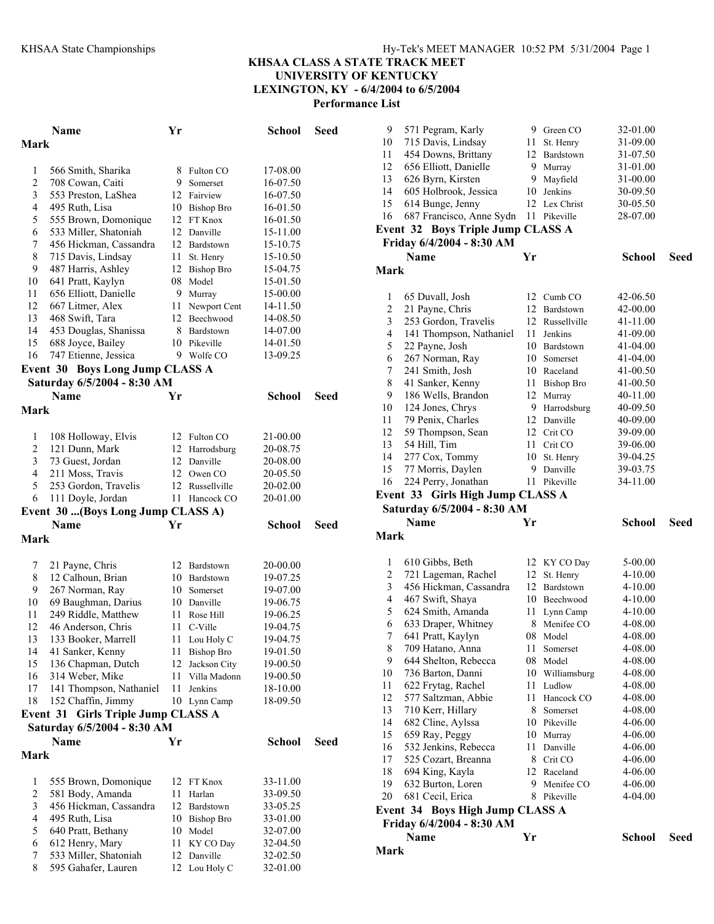|                         | Name                                                              | Yr   |                           | School               | Seed        |
|-------------------------|-------------------------------------------------------------------|------|---------------------------|----------------------|-------------|
| Mark                    |                                                                   |      |                           |                      |             |
| 1                       | 566 Smith, Sharika                                                | 8    | Fulton CO                 | 17-08.00             |             |
| $\overline{\mathbf{c}}$ | 708 Cowan, Caiti                                                  | 9.   | Somerset                  | 16-07.50             |             |
| 3                       | 553 Preston, LaShea                                               |      | 12 Fairview               | 16-07.50             |             |
| 4                       | 495 Ruth, Lisa                                                    |      | 10 Bishop Bro             | 16-01.50             |             |
| 5                       | 555 Brown, Domonique                                              |      | 12 FT Knox                | 16-01.50             |             |
| 6                       | 533 Miller, Shatoniah                                             |      | 12 Danville               | 15-11.00             |             |
| 7                       | 456 Hickman, Cassandra                                            |      | 12 Bardstown              | 15-10.75             |             |
| 8                       | 715 Davis, Lindsay                                                | 11   | St. Henry                 | 15-10.50             |             |
| 9                       | 487 Harris, Ashley                                                |      | 12 Bishop Bro             | 15-04.75             |             |
| 10                      | 641 Pratt, Kaylyn                                                 |      | 08 Model                  | 15-01.50             |             |
| 11                      | 656 Elliott, Danielle                                             |      | 9 Murray                  | 15-00.00             |             |
| 12                      | 667 Litmer, Alex                                                  | 11 - | Newport Cent              | 14-11.50             |             |
| 13                      | 468 Swift, Tara                                                   |      | 12 Beechwood              | 14-08.50             |             |
| 14                      | 453 Douglas, Shanissa                                             |      | 8 Bardstown               | 14-07.00             |             |
| 15                      | 688 Joyce, Bailey                                                 |      | 10 Pikeville              | 14-01.50             |             |
| 16                      | 747 Etienne, Jessica                                              |      | 9 Wolfe CO                | 13-09.25             |             |
|                         | <b>Event 30 Boys Long Jump CLASS A</b>                            |      |                           |                      |             |
|                         | Saturday 6/5/2004 - 8:30 AM<br>Name                               | Yr   |                           | <b>School</b>        | Seed        |
| Mark                    |                                                                   |      |                           |                      |             |
|                         |                                                                   |      |                           |                      |             |
| 1                       | 108 Holloway, Elvis                                               |      | 12 Fulton CO              | 21-00.00             |             |
| 2                       | 121 Dunn, Mark                                                    |      | 12 Harrodsburg            | 20-08.75             |             |
| 3                       | 73 Guest, Jordan                                                  |      | 12 Danville               | 20-08.00             |             |
| 4                       | 211 Moss, Travis                                                  |      | 12 Owen CO                | 20-05.50             |             |
| 5                       | 253 Gordon, Travelis                                              |      | 12 Russellville           | 20-02.00             |             |
| 6                       | 111 Doyle, Jordan                                                 | 11   | Hancock CO                | 20-01.00             |             |
|                         | Event 30 (Boys Long Jump CLASS A)                                 |      |                           |                      |             |
| Mark                    | Name                                                              | Yr   |                           | School               | Seed        |
|                         |                                                                   |      |                           |                      |             |
| 7                       | 21 Payne, Chris                                                   |      | 12 Bardstown              | 20-00.00             |             |
| 8                       | 12 Calhoun, Brian                                                 |      | 10 Bardstown              | 19-07.25             |             |
| 9                       | 267 Norman, Ray                                                   |      | 10 Somerset               | 19-07.00             |             |
| 10                      | 69 Baughman, Darius                                               |      | 10 Danville               | 19-06.75             |             |
| 11                      | 249 Riddle, Matthew                                               | 11   | Rose Hill                 | 19-06.25             |             |
| 12                      | 46 Anderson, Chris                                                | 11   | C-Ville                   | 19-04.75             |             |
| 13                      | 133 Booker, Marrell                                               | 11   | Lou Holy C                | 19-04.75             |             |
| 14                      | 41 Sanker, Kenny                                                  | 11   | <b>Bishop Bro</b>         | 19-01.50             |             |
| 15                      | 136 Chapman, Dutch                                                | 12   | Jackson City              | 19-00.50             |             |
| 16                      | 314 Weber, Mike                                                   | 11   | Villa Madonn              | 19-00.50             |             |
| 17                      | 141 Thompson, Nathaniel                                           | 11   | Jenkins                   | 18-10.00             |             |
| 18                      | 152 Chaffin, Jimmy                                                |      | 10 Lynn Camp              | 18-09.50             |             |
|                         | Event 31 Girls Triple Jump CLASS A<br>Saturday 6/5/2004 - 8:30 AM |      |                           |                      |             |
|                         | Name                                                              | Yr   |                           | <b>School</b>        | <b>Seed</b> |
| Mark                    |                                                                   |      |                           |                      |             |
|                         |                                                                   |      |                           |                      |             |
| 1                       | 555 Brown, Domonique                                              |      | 12 FT Knox                | 33-11.00             |             |
| $\overline{c}$          | 581 Body, Amanda                                                  | 11   | Harlan                    | 33-09.50             |             |
| 3                       | 456 Hickman, Cassandra                                            |      | 12 Bardstown              | 33-05.25             |             |
| $\overline{4}$          | 495 Ruth, Lisa                                                    |      | 10 Bishop Bro             | 33-01.00             |             |
| 5                       | 640 Pratt, Bethany                                                |      | 10 Model                  | 32-07.00             |             |
| 6                       | 612 Henry, Mary                                                   | 11   | KY CO Day                 | 32-04.50             |             |
| 7<br>8                  | 533 Miller, Shatoniah<br>595 Gahafer, Lauren                      | 12   | Danville<br>12 Lou Holy C | 32-02.50<br>32-01.00 |             |
|                         |                                                                   |      |                           |                      |             |

| 9                        | 571 Pegram, Karly                 |    | 9 Green CO        | 32-01.00      |      |
|--------------------------|-----------------------------------|----|-------------------|---------------|------|
| 10                       | 715 Davis, Lindsay                | 11 | St. Henry         | 31-09.00      |      |
| 11                       | 454 Downs, Brittany               | 12 | Bardstown         | 31-07.50      |      |
| 12                       | 656 Elliott, Danielle             | 9  | Murray            | 31-01.00      |      |
| 13                       | 626 Byrn, Kirsten                 | 9. | Mayfield          | 31-00.00      |      |
| 14                       | 605 Holbrook, Jessica             | 10 | Jenkins           | 30-09.50      |      |
| 15                       | 614 Bunge, Jenny                  |    | 12 Lex Christ     | 30-05.50      |      |
| 16                       | 687 Francisco, Anne Sydn          |    | 11 Pikeville      | 28-07.00      |      |
|                          | Event 32 Boys Triple Jump CLASS A |    |                   |               |      |
|                          | Friday 6/4/2004 - 8:30 AM         |    |                   |               |      |
|                          | <b>Name</b>                       | Yr |                   | <b>School</b> | Seed |
| <b>Mark</b>              |                                   |    |                   |               |      |
| 1                        | 65 Duvall, Josh                   |    | 12 Cumb CO        | 42-06.50      |      |
| $\overline{c}$           | 21 Payne, Chris                   |    | 12 Bardstown      | 42-00.00      |      |
| 3                        | 253 Gordon, Travelis              | 12 | Russellville      | 41-11.00      |      |
| $\overline{\mathcal{L}}$ | 141 Thompson, Nathaniel           | 11 | Jenkins           | 41-09.00      |      |
| 5                        | 22 Payne, Josh                    |    | 10 Bardstown      | 41-04.00      |      |
| 6                        | 267 Norman, Ray                   | 10 | Somerset          | 41-04.00      |      |
| 7                        | 241 Smith, Josh                   | 10 | Raceland          | 41-00.50      |      |
| 8                        | 41 Sanker, Kenny                  | 11 | <b>Bishop Bro</b> | 41-00.50      |      |
| 9                        | 186 Wells, Brandon                | 12 | Murray            | 40-11.00      |      |
| 10                       | 124 Jones, Chrys                  | 9  | Harrodsburg       | 40-09.50      |      |
| 11                       | 79 Penix, Charles                 | 12 | Danville          | 40-09.00      |      |
| 12                       | 59 Thompson, Sean                 | 12 | Crit CO           | 39-09.00      |      |
| 13                       | 54 Hill, Tim                      |    | 11 Crit CO        | 39-06.00      |      |
| 14                       | 277 Cox, Tommy                    | 10 | St. Henry         | 39-04.25      |      |
| 15                       | 77 Morris, Daylen                 | 9  | Danville          | 39-03.75      |      |
| 16                       | 224 Perry, Jonathan               | 11 | Pikeville         | 34-11.00      |      |
|                          | Event 33 Girls High Jump CLASS A  |    |                   |               |      |
|                          |                                   |    |                   |               |      |
|                          | Saturday 6/5/2004 - 8:30 AM       |    |                   |               |      |
|                          | <b>Name</b>                       | Yr |                   | <b>School</b> | Seed |
| <b>Mark</b>              |                                   |    |                   |               |      |
| 1                        | 610 Gibbs, Beth                   |    | 12 KY CO Day      | 5-00.00       |      |
| $\overline{c}$           | 721 Lageman, Rachel               | 12 | St. Henry         | 4-10.00       |      |
| 3                        | 456 Hickman, Cassandra            | 12 | Bardstown         | 4-10.00       |      |
| $\overline{\mathcal{L}}$ | 467 Swift, Shaya                  |    | 10 Beechwood      | 4-10.00       |      |
| 5                        | 624 Smith, Amanda                 | 11 | Lynn Camp         | 4-10.00       |      |
| 6                        | 633 Draper, Whitney               | 8  | Menifee CO        | 4-08.00       |      |
| $\overline{7}$           | 641 Pratt, Kaylyn                 | 08 | Model             | 4-08.00       |      |
| 8                        | 709 Hatano, Anna                  | 11 | Somerset          | 4-08.00       |      |
| 9                        | 644 Shelton, Rebecca              | 08 | Model             | 4-08.00       |      |
| 10                       | 736 Barton, Danni                 | 10 | Williamsburg      | 4-08.00       |      |
| 11                       | 622 Frytag, Rachel                | 11 | Ludlow            | 4-08.00       |      |
| 12                       | 577 Saltzman, Abbie               | 11 | Hancock CO        | 4-08.00       |      |
| 13                       | 710 Kerr, Hillary                 | 8  | Somerset          | 4-08.00       |      |
| 14                       | 682 Cline, Aylssa                 |    | 10 Pikeville      | 4-06.00       |      |
| 15                       | 659 Ray, Peggy                    | 10 | Murray            | 4-06.00       |      |
| 16                       | 532 Jenkins, Rebecca              | 11 | Danville          | 4-06.00       |      |
| 17                       | 525 Cozart, Breanna               |    | 8 Crit CO         | 4-06.00       |      |
| 18                       | 694 King, Kayla                   |    | 12 Raceland       | 4-06.00       |      |
| 19                       | 632 Burton, Loren                 | 9. | Menifee CO        | 4-06.00       |      |
| 20                       | 681 Cecil, Erica                  | 8. | Pikeville         | 4-04.00       |      |
|                          | Event 34 Boys High Jump CLASS A   |    |                   |               |      |
|                          | Friday 6/4/2004 - 8:30 AM         |    |                   |               |      |
| <b>Mark</b>              | Name                              | Yr |                   | <b>School</b> | Seed |